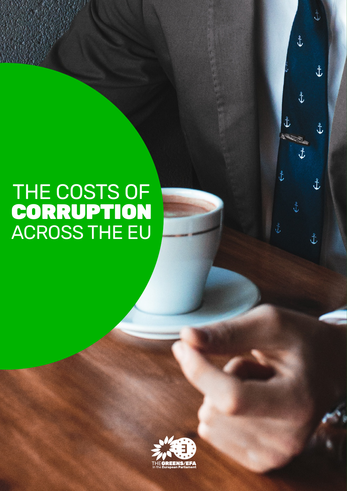# THE COSTS OF CORRUPTION ACROSS THE EU



\$

 $\mathbf{t}$ 

Ł

 $\hat{\mathbf{t}}$ 

 $\hat{t}$ 

 $\mathbf{t}$ 

 $\hat{t}$ 

 $\hat{\mathbf{t}}$ 

 $\hat{t}$ 

 $\hat{t}$ 

Ł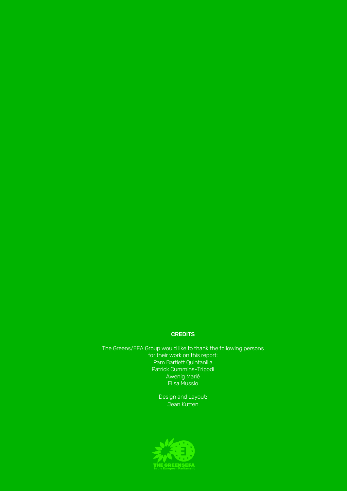### **CREDITS**

The Greens/EFA Group would like to thank the following persons for their work on this report: Pam Bartlett Quintanilla Patrick Cummins-Tripodi Awenig Marié Elisa Mussio

> Design and Layout: Jean Kutten

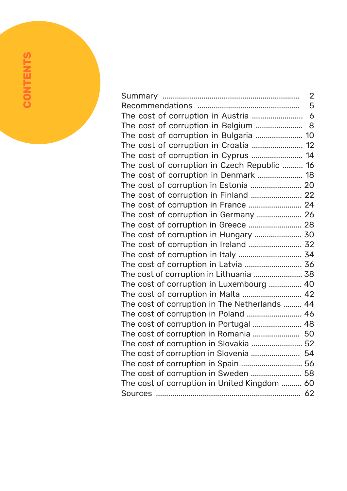|                                               | $\overline{2}$ |
|-----------------------------------------------|----------------|
|                                               | 5              |
|                                               |                |
| The cost of corruption in Belgium  8          |                |
| The cost of corruption in Bulgaria  10        |                |
|                                               |                |
| The cost of corruption in Cyprus  14          |                |
| The cost of corruption in Czech Republic  16  |                |
| The cost of corruption in Denmark  18         |                |
| The cost of corruption in Estonia  20         |                |
|                                               |                |
| The cost of corruption in France  24          |                |
|                                               |                |
| The cost of corruption in Greece  28          |                |
| The cost of corruption in Hungary  30         |                |
| The cost of corruption in Ireland  32         |                |
| The cost of corruption in Italy  34           |                |
|                                               |                |
| The cost of corruption in Lithuania  38       |                |
| The cost of corruption in Luxembourg  40      |                |
| The cost of corruption in Malta  42           |                |
| The cost of corruption in The Netherlands  44 |                |
| The cost of corruption in Poland  46          |                |
| The cost of corruption in Portugal  48        |                |
| The cost of corruption in Romania  50         |                |
| The cost of corruption in Slovakia  52        |                |
| The cost of corruption in Slovenia  54        |                |
|                                               |                |
|                                               |                |
| The cost of corruption in United Kingdom  60  |                |
|                                               |                |

**CONTENTS**

**CONTENTS**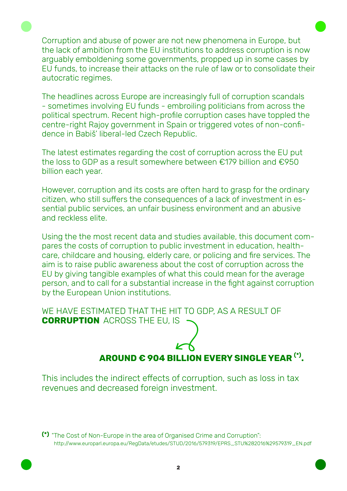Corruption and abuse of power are not new phenomena in Europe, but the lack of ambition from the EU institutions to address corruption is now arguably emboldening some governments, propped up in some cases by EU funds, to increase their attacks on the rule of law or to consolidate their autocratic regimes.

The headlines across Europe are increasingly full of corruption scandals - sometimes involving EU funds - embroiling politicians from across the political spectrum. Recent high-profile corruption cases have toppled the centre-right Rajoy government in Spain or triggered votes of non-confidence in Babiš' liberal-led Czech Republic.

The latest estimates regarding the cost of corruption across the EU put the loss to GDP as a result somewhere between €179 billion and €950 billion each year.

However, corruption and its costs are often hard to grasp for the ordinary citizen, who still suffers the consequences of a lack of investment in essential public services, an unfair business environment and an abusive and reckless elite.

Using the the most recent data and studies available, this document compares the costs of corruption to public investment in education, healthcare, childcare and housing, elderly care, or policing and fire services. The aim is to raise public awareness about the cost of corruption across the EU by giving tangible examples of what this could mean for the average person, and to call for a substantial increase in the fight against corruption by the European Union institutions.

WE HAVE ESTIMATED THAT THE HIT TO GDP, AS A RESULT OF **CORRUPTION** ACROSS THE EU, IS

## **AROUND € 904 BILLION EVERY SINGLE YEAR (\*).**

This includes the indirect effects of corruption, such as loss in tax revenues and decreased foreign investment.

**(\*)** "The Cost of Non-Europe in the area of Organised Crime and Corruption": http://www.europarl.europa.eu/RegData/etudes/STUD/2016/579319/EPRS\_STU%282016%29579319\_EN.pdf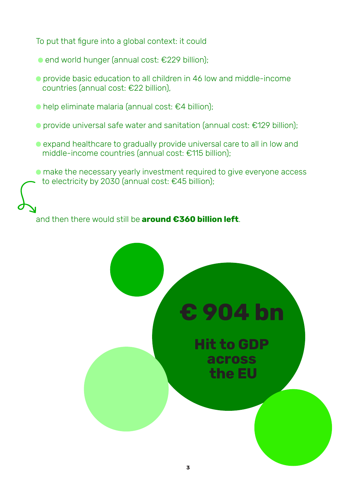To put that figure into a global context: it could

- end world hunger (annual cost: €229 billion);
- provide basic education to all children in 46 low and middle-income countries (annual cost: €22 billion),
- help eliminate malaria (annual cost: €4 billion);
- provide universal safe water and sanitation (annual cost: €129 billion);
- expand healthcare to gradually provide universal care to all in low and middle-income countries (annual cost: €115 billion);
- make the necessary yearly investment required to give everyone access to electricity by 2030 (annual cost: €45 billion);

## and then there would still be **around €360 billion left**.

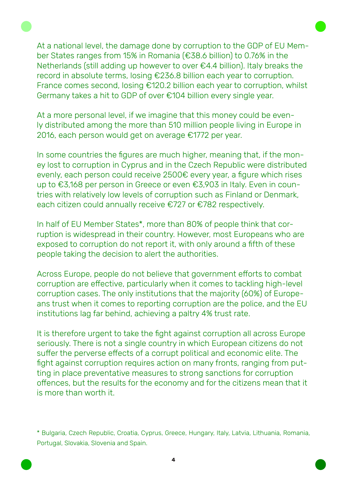At a national level, the damage done by corruption to the GDP of EU Member States ranges from 15% in Romania (€38.6 billion) to 0.76% in the Netherlands (still adding up however to over €4.4 billion). Italy breaks the record in absolute terms, losing €236.8 billion each year to corruption. France comes second, losing €120.2 billion each year to corruption, whilst Germany takes a hit to GDP of over €104 billion every single year.

At a more personal level, if we imagine that this money could be evenly distributed among the more than 510 million people living in Europe in 2016, each person would get on average €1772 per year.

In some countries the figures are much higher, meaning that, if the money lost to corruption in Cyprus and in the Czech Republic were distributed evenly, each person could receive 2500€ every year, a figure which rises up to €3,168 per person in Greece or even €3,903 in Italy. Even in countries with relatively low levels of corruption such as Finland or Denmark, each citizen could annually receive €727 or €782 respectively.

In half of EU Member States\*, more than 80% of people think that corruption is widespread in their country. However, most Europeans who are exposed to corruption do not report it, with only around a fifth of these people taking the decision to alert the authorities.

Across Europe, people do not believe that government efforts to combat corruption are effective, particularly when it comes to tackling high-level corruption cases. The only institutions that the majority (60%) of Europeans trust when it comes to reporting corruption are the police, and the EU institutions lag far behind, achieving a paltry 4% trust rate.

It is therefore urgent to take the fight against corruption all across Europe seriously. There is not a single country in which European citizens do not suffer the perverse effects of a corrupt political and economic elite. The fight against corruption requires action on many fronts, ranging from putting in place preventative measures to strong sanctions for corruption offences, but the results for the economy and for the citizens mean that it is more than worth it.

\* Bulgaria, Czech Republic, Croatia, Cyprus, Greece, Hungary, Italy, Latvia, Lithuania, Romania, Portugal, Slovakia, Slovenia and Spain.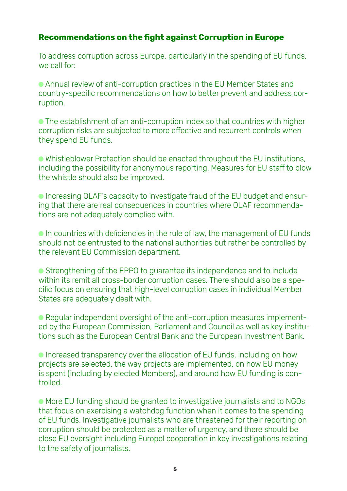## **Recommendations on the fight against Corruption in Europe**

To address corruption across Europe, particularly in the spending of EU funds, we call for:

 Annual review of anti-corruption practices in the EU Member States and country-specific recommendations on how to better prevent and address corruption.

 The establishment of an anti-corruption index so that countries with higher corruption risks are subjected to more effective and recurrent controls when they spend EU funds.

 Whistleblower Protection should be enacted throughout the EU institutions, including the possibility for anonymous reporting. Measures for EU staff to blow the whistle should also be improved.

 Increasing OLAF's capacity to investigate fraud of the EU budget and ensuring that there are real consequences in countries where OLAF recommendations are not adequately complied with.

 In countries with deficiencies in the rule of law, the management of EU funds should not be entrusted to the national authorities but rather be controlled by the relevant EU Commission department.

● Strengthening of the EPPO to guarantee its independence and to include within its remit all cross-border corruption cases. There should also be a specific focus on ensuring that high-level corruption cases in individual Member States are adequately dealt with.

 Regular independent oversight of the anti-corruption measures implemented by the European Commission, Parliament and Council as well as key institutions such as the European Central Bank and the European Investment Bank.

 Increased transparency over the allocation of EU funds, including on how projects are selected, the way projects are implemented, on how EU money is spent (including by elected Members), and around how EU funding is controlled.

 More EU funding should be granted to investigative journalists and to NGOs that focus on exercising a watchdog function when it comes to the spending of EU funds. Investigative journalists who are threatened for their reporting on corruption should be protected as a matter of urgency, and there should be close EU oversight including Europol cooperation in key investigations relating to the safety of journalists.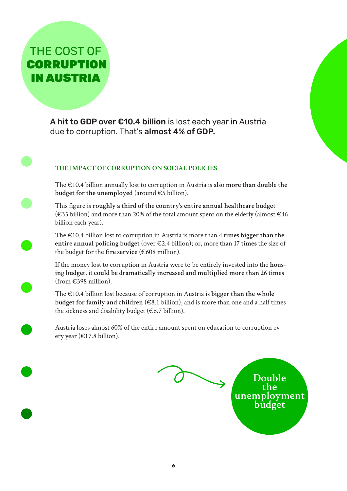THE COST OF **CORRUPTION** IN AUSTRIA

> A hit to GDP over €10.4 billion is lost each year in Austria due to corruption. That's almost 4% of GDP.

## **THE IMPACT OF CORRUPTION ON SOCIAL POLICIES**

The €10.4 billion annually lost to corruption in Austria is also **more than double the budget for the unemployed** (around €5 billion).

This figure is **roughly a third of the country's entire annual healthcare budget** (€35 billion) and more than 20% of the total amount spent on the elderly (almost €46 billion each year).

The €10.4 billion lost to corruption in Austria is more than 4 **times bigger than the entire annual policing budget** (over €2.4 billion); or, more than **17 times** the size of the budget for the **fire service** (€608 million).

If the money lost to corruption in Austria were to be entirely invested into the **housing budget**, it **could be dramatically increased and multiplied more than 26 times**  $(from \in 398$  million).

The €10.4 billion lost because of corruption in Austria is **bigger than the whole budget for family and children** ( $\in$ 8.1 billion), and is more than one and a half times the sickness and disability budget ( $\epsilon$ 6.7 billion).

Austria loses almost 60% of the entire amount spent on education to corruption every year ( $\in$ 17.8 billion).

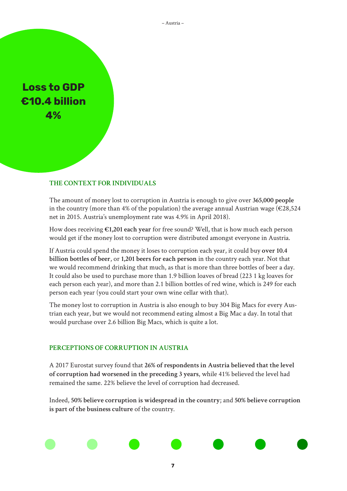**Loss to GDP €10.4 billion 4%**

#### **THE CONTEXT FOR INDIVIDUALS**

The amount of money lost to corruption in Austria is enough to give over **365,000 people**  in the country (more than 4% of the population) the average annual Austrian wage ( $\epsilon$ 28,524 net in 2015. Austria's unemployment rate was 4.9% in April 2018).

How does receiving **€1,201 each year** for free sound? Well, that is how much each person would get if the money lost to corruption were distributed amongst everyone in Austria.

If Austria could spend the money it loses to corruption each year, it could buy **over 10.4 billion bottles of beer**, or **1,201 beers for each person** in the country each year. Not that we would recommend drinking that much, as that is more than three bottles of beer a day. It could also be used to purchase more than 1.9 billion loaves of bread (223 1 kg loaves for each person each year), and more than 2.1 billion bottles of red wine, which is 249 for each person each year (you could start your own wine cellar with that).

The money lost to corruption in Austria is also enough to buy 304 Big Macs for every Austrian each year, but we would not recommend eating almost a Big Mac a day. In total that would purchase over 2.6 billion Big Macs, which is quite a lot.

#### **PERCEPTIONS OF CORRUPTION IN AUSTRIA**

A 2017 Eurostat survey found that **26% of respondents in Austria believed that the level of corruption had worsened in the preceding 3 years**, while 41% believed the level had remained the same. 22% believe the level of corruption had decreased.

Indeed, **50% believe corruption is widespread in the country**; and **50% believe corruption is part of the business culture** of the country.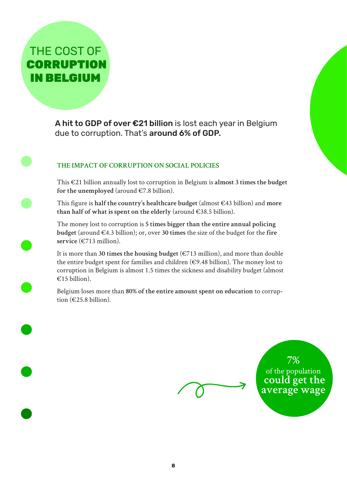## THE COST OF **CORRUPTION** IN BELGIUM

A hit to GDP of over €21 billion is lost each year in Belgium due to corruption. That's around 6% of GDP.

## **THE IMPACT OF CORRUPTION ON SOCIAL POLICIES**

This €21 billion annually lost to corruption in Belgium is **almost 3 times the budget**  for the unemployed (around  $\in 7.8$  billion).

This figure is **half the country's healthcare budget** (almost €43 billion) and **more than half of what is spent on the elderly** (around €38.5 billion).

The money lost to corruption is **5 times bigger than the entire annual policing budget** (around €4.3 billion); or, over **30 times** the size of the budget for the **fire service** (€713 million).

It is more than 30 times the housing budget  $(\epsilon 713$  million), and more than double the entire budget spent for families and children ( $\epsilon$ 9.48 billion). The money lost to corruption in Belgium is almost 1.5 times the sickness and disability budget (almost €15 billion).

Belgium loses more than **80% of the entire amount spent on education** to corruption (€25.8 billion).

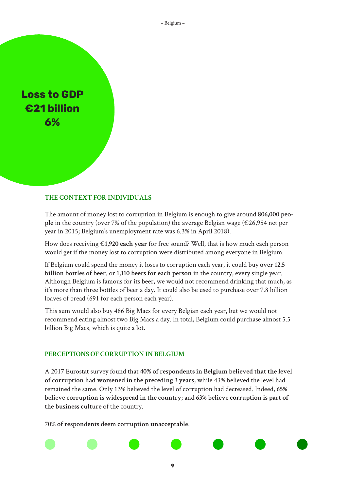**Loss to GDP €21 billion 6%**

#### **THE CONTEXT FOR INDIVIDUALS**

The amount of money lost to corruption in Belgium is enough to give around **806,000 people** in the country (over 7% of the population) the average Belgian wage (€26,954 net per year in 2015; Belgium's unemployment rate was 6.3% in April 2018).

How does receiving **€1,920 each year** for free sound? Well, that is how much each person would get if the money lost to corruption were distributed among everyone in Belgium.

If Belgium could spend the money it loses to corruption each year, it could buy **over 12.5 billion bottles of beer**, or **1,110 beers for each person** in the country, every single year. Although Belgium is famous for its beer, we would not recommend drinking that much, as it's more than three bottles of beer a day. It could also be used to purchase over 7.8 billion loaves of bread (691 for each person each year).

This sum would also buy 486 Big Macs for every Belgian each year, but we would not recommend eating almost two Big Macs a day. In total, Belgium could purchase almost 5.5 billion Big Macs, which is quite a lot.

#### **PERCEPTIONS OF CORRUPTION IN BELGIUM**

A 2017 Eurostat survey found that **40% of respondents in Belgium believed that the level of corruption had worsened in the preceding 3 years**, while 43% believed the level had remained the same. Only 13% believed the level of corruption had decreased. Indeed, **65% believe corruption is widespread in the country**; and **63% believe corruption is part of the business culture** of the country.

**70% of respondents deem corruption unacceptable**.

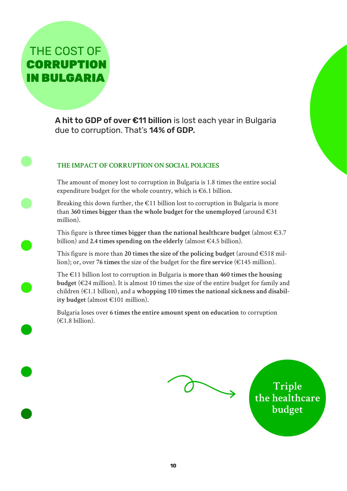## THE COST OF **CORRUPTION** IN BULGARIA

A hit to GDP of over €11 billion is lost each year in Bulgaria due to corruption. That's 14% of GDP.

## **THE IMPACT OF CORRUPTION ON SOCIAL POLICIES**

The amount of money lost to corruption in Bulgaria is 1.8 times the entire social expenditure budget for the whole country, which is  $\epsilon$ 6.1 billion.

Breaking this down further, the  $\epsilon$ 11 billion lost to corruption in Bulgaria is more than 360 times bigger than the whole budget for the unemployed (around  $\epsilon$ 31) million).

This figure is **three times bigger than the national healthcare budget** (almost €3.7 billion) and **2.4 times spending on the elderly** (almost €4.5 billion).

This figure is more than **20 times the size of the policing budget** (around €518 million); or, over **76 times** the size of the budget for the **fire service** (€145 million).

The €11 billion lost to corruption in Bulgaria is **more than 460 times the housing budget** (€24 million). It is almost 10 times the size of the entire budget for family and children (€1.1 billion), and a **whopping 110 times the national sickness and disability budget** (almost €101 million).

Bulgaria loses over **6 times the entire amount spent on education** to corruption  $(E1.8 \text{ billion})$ .



**Triple the healthcare budget**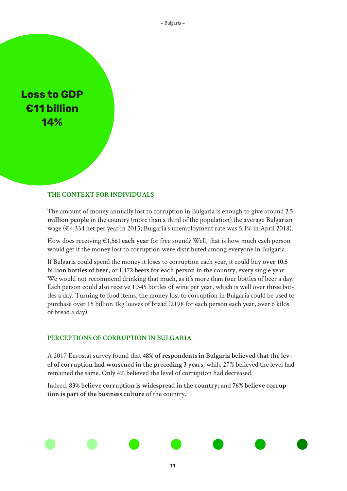## **Loss to GDP €11 billion 14%**

#### **THE CONTEXT FOR INDIVIDUALS**

The amount of money annually lost to corruption in Bulgaria is enough to give around **2.5 million people** in the country (more than a third of the population) the average Bulgarian wage (€4,334 net per year in 2015; Bulgaria's unemployment rate was 5.1% in April 2018).

How does receiving **€1,561 each year** for free sound? Well, that is how much each person would get if the money lost to corruption were distributed among everyone in Bulgaria.

If Bulgaria could spend the money it loses to corruption each year, it could buy **over 10.5 billion bottles of beer**, or **1,472 beers for each person** in the country, every single year. We would not recommend drinking that much, as it's more than four bottles of beer a day. Each person could also receive 1,345 bottles of wine per year, which is well over three bottles a day. Turning to food items, the money lost to corruption in Bulgaria could be used to purchase over 15 billion 1kg loaves of bread (2198 for each person each year, over 6 kilos of bread a day).

#### **PERCEPTIONS OF CORRUPTION IN BULGARIA**

A 2017 Eurostat survey found that **48% of respondents in Bulgaria believed that the level of corruption had worsened in the preceding 3 years**, while 27% believed the level had remained the same. Only 4% believed the level of corruption had decreased.

Indeed, **83% believe corruption is widespread in the country**; and **76% believe corruption is part of the business culture** of the country.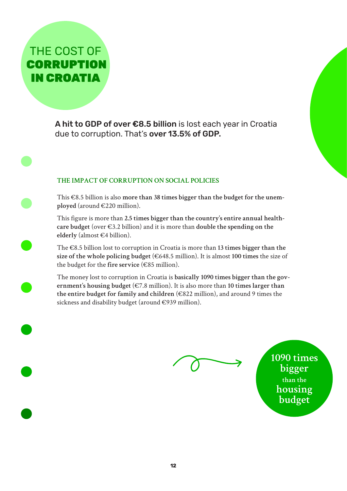THE COST OF **CORRUPTION** IN CROATIA

> A hit to GDP of over €8.5 billion is lost each year in Croatia due to corruption. That's over 13.5% of GDP.

### **THE IMPACT OF CORRUPTION ON SOCIAL POLICIES**

This €8.5 billion is also **more than 38 times bigger than the budget for the unemployed** (around €220 million).

This figure is more than **2.5 times bigger than the country's entire annual healthcare budget** (over €3.2 billion) and it is more than **double the spending on the elderly** (almost €4 billion).

The €8.5 billion lost to corruption in Croatia is more than **13 times bigger than the size of the whole policing budget** (€648.5 million). It is almost **100 times** the size of the budget for the **fire service** (€85 million).

The money lost to corruption in Croatia is **basically 1090 times bigger than the government's housing budget** (€7.8 million). It is also more than **10 times larger than the entire budget for family and children** (€822 million), and around 9 times the sickness and disability budget (around €939 million).

**1090 times bigger than the housing budget**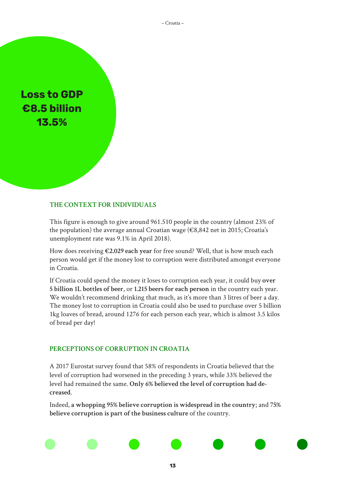– Croatia –

**Loss to GDP €8.5 billion 13.5%**

#### **THE CONTEXT FOR INDIVIDUALS**

This figure is enough to give around 961.510 people in the country (almost 23% of the population) the average annual Croatian wage ( $\epsilon$ 8,842 net in 2015; Croatia's unemployment rate was 9.1% in April 2018).

How does receiving **€2.029 each year** for free sound? Well, that is how much each person would get if the money lost to corruption were distributed amongst everyone in Croatia.

If Croatia could spend the money it loses to corruption each year, it could buy **over 5 billion 1L bottles of beer**, or **1.215 beers for each person** in the country each year. We wouldn't recommend drinking that much, as it's more than 3 litres of beer a day. The money lost to corruption in Croatia could also be used to purchase over 5 billion 1kg loaves of bread, around 1276 for each person each year, which is almost 3.5 kilos of bread per day!

#### **PERCEPTIONS OF CORRUPTION IN CROATIA**

A 2017 Eurostat survey found that 58% of respondents in Croatia believed that the level of corruption had worsened in the preceding 3 years, while 33% believed the level had remained the same. **Only 6% believed the level of corruption had decreased**.

Indeed, **a whopping 95% believe corruption is widespread in the country**; and **75% believe corruption is part of the business culture** of the country.

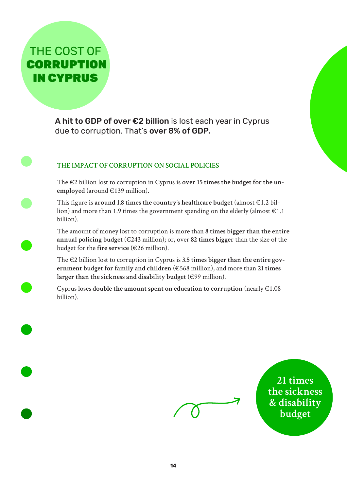## THE COST OF **CORRUPTION** IN CYPRUS

A hit to GDP of over €2 billion is lost each year in Cyprus due to corruption. That's over 8% of GDP.

## **THE IMPACT OF CORRUPTION ON SOCIAL POLICIES**

The €2 billion lost to corruption in Cyprus is **over 15 times the budget for the unemployed** (around €139 million).

This figure is **around 1.8 times the country's healthcare budget** (almost €1.2 billion) and more than 1.9 times the government spending on the elderly (almost  $\epsilon$ 1.1) billion).

The amount of money lost to corruption is more than **8 times bigger than the entire annual policing budget** (€243 million); or, over **82 times bigger** than the size of the budget for the **fire service** (€26 million).

The €2 billion lost to corruption in Cyprus is **3.5 times bigger than the entire government budget for family and children** (€568 million), and more than **21 times larger than the sickness and disability budget** (€99 million).

Cyprus loses **double the amount spent on education to corruption** (nearly €1.08 billion).



**21 times the sickness & disability budget**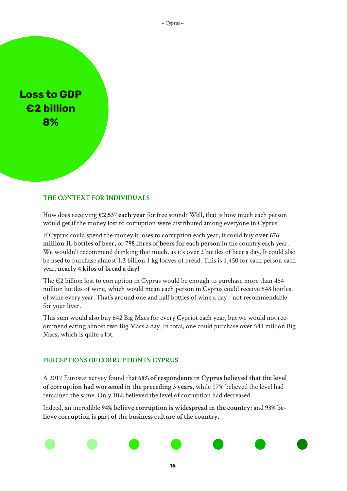## **Loss to GDP €2 billion 8%**

#### **THE CONTEXT FOR INDIVIDUALS**

How does receiving **€2,537 each year** for free sound? Well, that is how much each person would get if the money lost to corruption were distributed among everyone in Cyprus.

If Cyprus could spend the money it loses to corruption each year, it could buy **over 676 million 1L bottles of beer**, or **798 litres of beers for each person** in the country each year. We wouldn't recommend drinking that much, as it's over 2 bottles of beer a day. It could also be used to purchase almost 1.3 billion 1 kg loaves of bread. This is 1,450 for each person each year, **nearly 4 kilos of bread a day**!

The  $\epsilon$ 2 billion lost to corruption in Cyprus would be enough to purchase more than 464 million bottles of wine, which would mean each person in Cyprus could receive 548 bottles of wine every year. That's around one and half bottles of wine a day - not recommendable for your liver.

This sum would also buy 642 Big Macs for every Cypriot each year, but we would not recommend eating almost two Big Macs a day. In total, one could purchase over 544 million Big Macs, which is quite a lot.

#### **PERCEPTIONS OF CORRUPTION IN CYPRUS**

A 2017 Eurostat survey found that **68% of respondents in Cyprus believed that the level of corruption had worsened in the preceding 3 years**, while 17% believed the level had remained the same. Only 10% believed the level of corruption had decreased.

Indeed, an incredible **94% believe corruption is widespread in the country**; and **93% believe corruption is part of the business culture of the country**.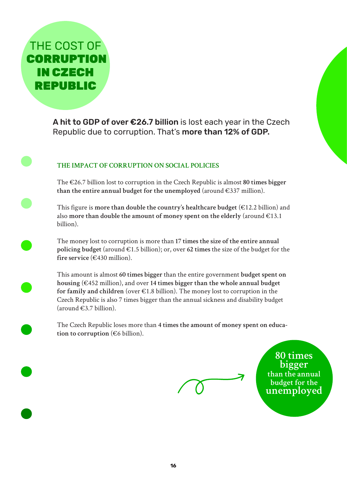THE COST OF **CORRUPTION** IN CZECH REPUBLIC

> A hit to GDP of over €26.7 billion is lost each year in the Czech Republic due to corruption. That's more than 12% of GDP.

## **THE IMPACT OF CORRUPTION ON SOCIAL POLICIES**

The €26.7 billion lost to corruption in the Czech Republic is almost **80 times bigger than the entire annual budget for the unemployed** (around €337 million).

This figure is **more than double the country's healthcare budget** (€12.2 billion) and also **more than double the amount of money spent on the elderly** (around €13.1 billion).

The money lost to corruption is more than **17 times the size of the entire annual policing budget** (around €1.5 billion); or, over **62 times** the size of the budget for the fire service  $(\epsilon$ 430 million).

This amount is almost **60 times bigger** than the entire government **budget spent on housing** (€452 million), and over **14 times bigger than the whole annual budget for family and children** (over €1.8 billion). The money lost to corruption in the Czech Republic is also 7 times bigger than the annual sickness and disability budget  $(\text{around } \epsilon\text{3.7 billion}).$ 

The Czech Republic loses more than **4 times the amount of money spent on education to corruption** (€6 billion).

**80 times bigger than the annual budget for the unemployed**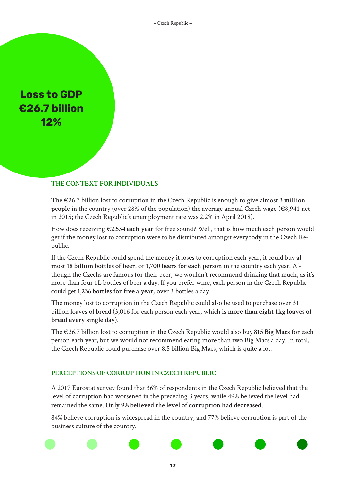**Loss to GDP €26.7 billion 12%**

## **THE CONTEXT FOR INDIVIDUALS**

The €26.7 billion lost to corruption in the Czech Republic is enough to give almost **3 million people** in the country (over 28% of the population) the average annual Czech wage (€8,941 net in 2015; the Czech Republic's unemployment rate was 2.2% in April 2018).

How does receiving **€2,534 each year** for free sound? Well, that is how much each person would get if the money lost to corruption were to be distributed amongst everybody in the Czech Republic.

If the Czech Republic could spend the money it loses to corruption each year, it could buy **almost 18 billion bottles of beer**, or **1,700 beers for each person** in the country each year. Although the Czechs are famous for their beer, we wouldn't recommend drinking that much, as it's more than four 1L bottles of beer a day. If you prefer wine, each person in the Czech Republic could get **1,236 bottles for free a year**, over 3 bottles a day.

The money lost to corruption in the Czech Republic could also be used to purchase over 31 billion loaves of bread (3,016 for each person each year, which is **more than eight 1kg loaves of bread every single day**).

The €26.7 billion lost to corruption in the Czech Republic would also buy **815 Big Macs** for each person each year, but we would not recommend eating more than two Big Macs a day. In total, the Czech Republic could purchase over 8.5 billion Big Macs, which is quite a lot.

#### **PERCEPTIONS OF CORRUPTION IN CZECH REPUBLIC**

A 2017 Eurostat survey found that 36% of respondents in the Czech Republic believed that the level of corruption had worsened in the preceding 3 years, while 49% believed the level had remained the same. **Only 9% believed the level of corruption had decreased**.

84% believe corruption is widespread in the country; and 77% believe corruption is part of the business culture of the country.

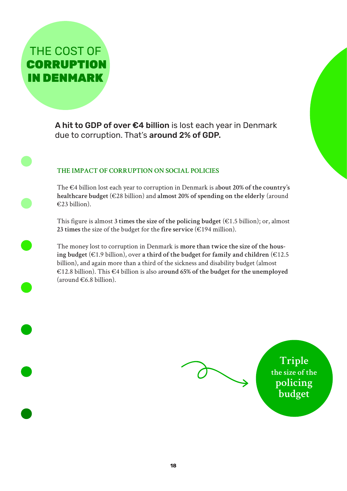THE COST OF **CORRUPTION** IN DENMARK

> A hit to GDP of over €4 billion is lost each year in Denmark due to corruption. That's around 2% of GDP.

## **THE IMPACT OF CORRUPTION ON SOCIAL POLICIES**

The €4 billion lost each year to corruption in Denmark is a**bout 20% of the country's healthcare budget** (€28 billion) and **almost 20% of spending on the elderly** (around €23 billion).

This figure is almost **3 times the size of the policing budget** (€1.5 billion); or, almost **23 times** the size of the budget for the **fire service** (€194 million).

The money lost to corruption in Denmark is **more than twice the size of the housing budget** (€1.9 billion), over **a third of the budget for family and children** (€12.5 billion), and again more than a third of the sickness and disability budget (almost €12.8 billion). This €4 billion is also a**round 65% of the budget for the unemployed**  $(\text{around } \in 6.8 \text{ billion}).$ 

**Triple the size of the policing budget**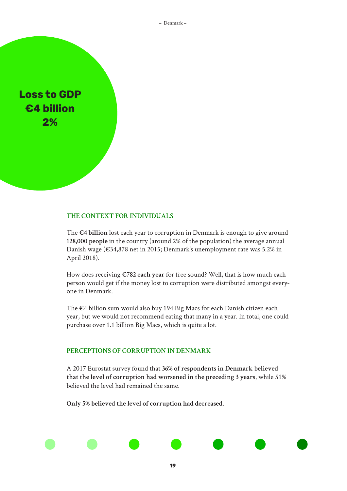– Denmark –

**Loss to GDP €4 billion 2%**

#### **THE CONTEXT FOR INDIVIDUALS**

The **€4 billion** lost each year to corruption in Denmark is enough to give around **128,000 people** in the country (around 2% of the population) the average annual Danish wage (€34,878 net in 2015; Denmark's unemployment rate was 5.2% in April 2018).

How does receiving **€782 each year** for free sound? Well, that is how much each person would get if the money lost to corruption were distributed amongst everyone in Denmark.

The €4 billion sum would also buy 194 Big Macs for each Danish citizen each year, but we would not recommend eating that many in a year. In total, one could purchase over 1.1 billion Big Macs, which is quite a lot.

#### **PERCEPTIONS OF CORRUPTION IN DENMARK**

A 2017 Eurostat survey found that **36% of respondents in Denmark believed that the level of corruption had worsened in the preceding 3 years**, while 51% believed the level had remained the same.

**19**

**Only 5% believed the level of corruption had decreased**.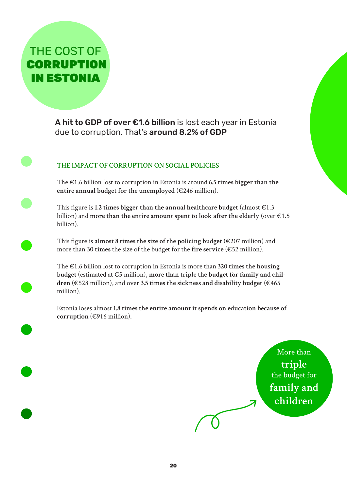## THE COST OF **CORRUPTION** IN ESTONIA

A hit to GDP of over €1.6 billion is lost each year in Estonia due to corruption. That's around 8.2% of GDP

## **THE IMPACT OF CORRUPTION ON SOCIAL POLICIES**

The €1.6 billion lost to corruption in Estonia is around **6.5 times bigger than the entire annual budget for the unemployed** (€246 million).

This figure is **1.2 times bigger than the annual healthcare budget** (almost  $\epsilon$ 1.3) billion) and **more than the entire amount spent to look after the elderly** (over €1.5 billion).

This figure is almost 8 times the size of the policing budget  $(\epsilon 207 \text{ million})$  and more than **30 times** the size of the budget for the **fire service** (€52 million).

The €1.6 billion lost to corruption in Estonia is more than **320 times the housing budget** (estimated at €5 million), **more than triple the budget for family and children** (€528 million), and over **3.5 times the sickness and disability budget** (€465 million).

Estonia loses almost **1.8 times the entire amount it spends on education because of corruption** (€916 million).

> More than **triple**  the budget for **family and children**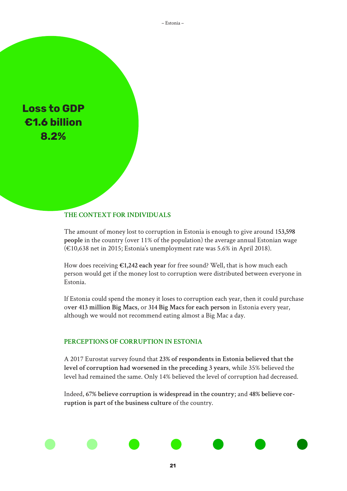– Estonia –

**Loss to GDP €1.6 billion 8.2%**

#### **THE CONTEXT FOR INDIVIDUALS**

The amount of money lost to corruption in Estonia is enough to give around 1**53,598 people** in the country (over 11% of the population) the average annual Estonian wage (€10,638 net in 2015; Estonia's unemployment rate was 5.6% in April 2018).

How does receiving **€1,242 each year** for free sound? Well, that is how much each person would get if the money lost to corruption were distributed between everyone in Estonia.

If Estonia could spend the money it loses to corruption each year, then it could purchase o**ver 413 million Big Macs**, or **314 Big Macs for each person** in Estonia every year, although we would not recommend eating almost a Big Mac a day.

#### **PERCEPTIONS OF CORRUPTION IN ESTONIA**

A 2017 Eurostat survey found that **23% of respondents in Estonia believed that the level of corruption had worsened in the preceding 3 years**, while 35% believed the level had remained the same. Only 14% believed the level of corruption had decreased.

Indeed, **67% believe corruption is widespread in the country**; and **48% believe corruption is part of the business culture** of the country.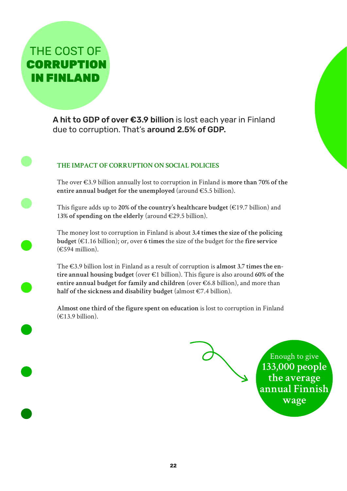## THE COST OF **CORRUPTION** IN FINLAND

A hit to GDP of over €3.9 billion is lost each year in Finland due to corruption. That's around 2.5% of GDP.

## **THE IMPACT OF CORRUPTION ON SOCIAL POLICIES**

The over €3.9 billion annually lost to corruption in Finland is **more than 70% of the entire annual budget for the unemployed** (around €5.5 billion).

This figure adds up to **20% of the country's healthcare budget** (€19.7 billion) and 1**3% of spending on the elderly** (around €29.5 billion).

The money lost to corruption in Finland is about **3.4 times the size of the policing budget** (€1.16 billion); or, over **6 times** the size of the budget for the **fire service**   $(\epsilon$ 594 million).

The €3.9 billion lost in Finland as a result of corruption is **almost 3.7 times the entire annual housing budget** (over €1 billion). This figure is also around **60% of the entire annual budget for family and children** (over €6.8 billion), and more than **half of the sickness and disability budget** (almost €7.4 billion).

**Almost one third of the figure spent on education** is lost to corruption in Finland  $(E13.9 \text{ billion})$ .

> Enough to give **133,000 people the average annual Finnish wage**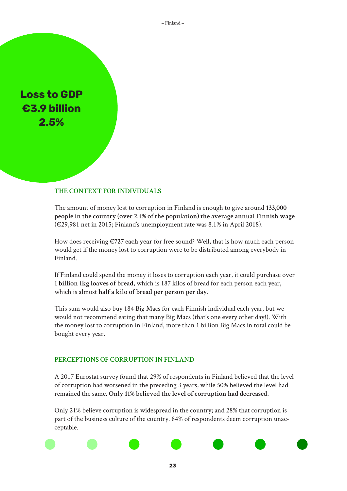– Finland –

**Loss to GDP €3.9 billion 2.5%**

#### **THE CONTEXT FOR INDIVIDUALS**

The amount of money lost to corruption in Finland is enough to give around **133,000 people in the country (over 2.4% of the population) the average annual Finnish wage** (€29,981 net in 2015; Finland's unemployment rate was 8.1% in April 2018).

How does receiving **€727 each year** for free sound? Well, that is how much each person would get if the money lost to corruption were to be distributed among everybody in Finland.

If Finland could spend the money it loses to corruption each year, it could purchase over **1 billion 1kg loaves of bread**, which is 187 kilos of bread for each person each year, which is almost **half a kilo of bread per person per day**.

This sum would also buy 184 Big Macs for each Finnish individual each year, but we would not recommend eating that many Big Macs (that's one every other day!). With the money lost to corruption in Finland, more than 1 billion Big Macs in total could be bought every year.

#### **PERCEPTIONS OF CORRUPTION IN FINLAND**

A 2017 Eurostat survey found that 29% of respondents in Finland believed that the level of corruption had worsened in the preceding 3 years, while 50% believed the level had remained the same. **Only 11% believed the level of corruption had decreased**.

Only 21% believe corruption is widespread in the country; and 28% that corruption is part of the business culture of the country. 84% of respondents deem corruption unacceptable.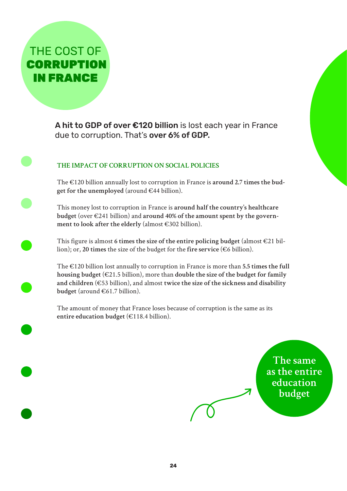THE COST OF **CORRUPTION** IN FRANCE

> A hit to GDP of over €120 billion is lost each year in France due to corruption. That's over 6% of GDP.

## **THE IMPACT OF CORRUPTION ON SOCIAL POLICIES**

The €120 billion annually lost to corruption in France is **around 2.7 times the bud**get for the unemployed (around  $\in$ 44 billion).

This money lost to corruption in France is **around half the country's healthcare budget** (over €241 billion) and **around 40% of the amount spent by the government to look after the elderly** (almost €302 billion).

This figure is almost 6 times the size of the entire policing budget (almost  $\in 21$  billion); or, **20 times** the size of the budget for the **fire service** (€6 billion).

The €120 billion lost annually to corruption in France is more than **5.5 times the full housing budget** (€21.5 billion), more than **double the size of the budget for family and children** (€53 billion), and almost **twice the size of the sickness and disability budget** (around €61.7 billion).

The amount of money that France loses because of corruption is the same as its **entire education budget** (€118.4 billion).

> **The same as the entire education budget**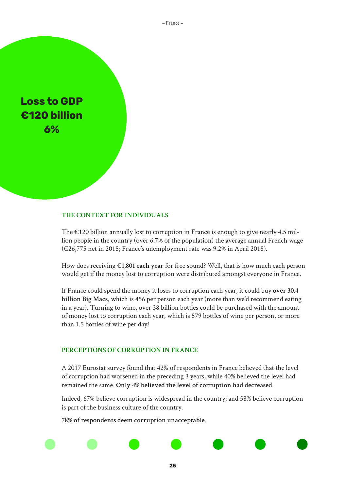– France –

**Loss to GDP €120 billion 6%**

#### **THE CONTEXT FOR INDIVIDUALS**

The  $\epsilon$ 120 billion annually lost to corruption in France is enough to give nearly 4.5 million people in the country (over 6.7% of the population) the average annual French wage (€26,775 net in 2015; France's unemployment rate was 9.2% in April 2018).

How does receiving **€1,801 each year** for free sound? Well, that is how much each person would get if the money lost to corruption were distributed amongst everyone in France.

If France could spend the money it loses to corruption each year, it could buy **over 30.4 billion Big Macs**, which is 456 per person each year (more than we'd recommend eating in a year). Turning to wine, over 38 billion bottles could be purchased with the amount of money lost to corruption each year, which is 579 bottles of wine per person, or more than 1.5 bottles of wine per day!

#### **PERCEPTIONS OF CORRUPTION IN FRANCE**

A 2017 Eurostat survey found that 42% of respondents in France believed that the level of corruption had worsened in the preceding 3 years, while 40% believed the level had remained the same. **Only 4% believed the level of corruption had decreased**.

Indeed, 67% believe corruption is widespread in the country; and 58% believe corruption is part of the business culture of the country.

**78% of respondents deem corruption unacceptable**.

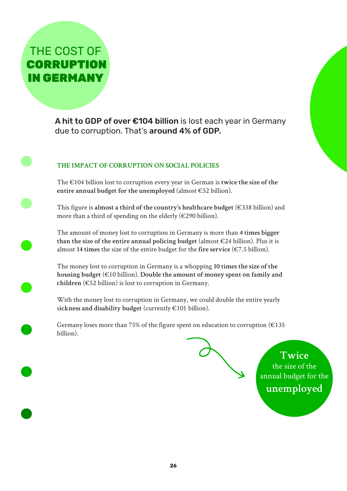## THE COST OF **CORRUPTION** IN GERMANY

A hit to GDP of over €104 billion is lost each year in Germany due to corruption. That's around 4% of GDP.

## **THE IMPACT OF CORRUPTION ON SOCIAL POLICIES**

The €104 billion lost to corruption every year in German is **twice the size of the entire annual budget for the unemployed** (almost €52 billion).

This figure is **almost a third of the country's healthcare budget** (€338 billion) and more than a third of spending on the elderly ( $\in$ 290 billion).

The amount of money lost to corruption in Germany is more than **4 times bigger**  than the size of the entire annual policing budget  $(almost \in 24$  billion). Plus it is almost 14 times the size of the entire budget for the fire service  $(\epsilon 7.5 \text{ billion})$ .

The money lost to corruption in Germany is a whopping **10 times the size of the housing budget** (€10 billion). **Double the amount of money spent on family and children** (€52 billion) is lost to corruption in Germany.

With the money lost to corruption in Germany, we could double the entire yearly s**ickness and disability budget** (currently €101 billion).

Germany loses more than 75% of the figure spent on education to corruption ( $€135$ billion).

> **Twice** the size of the annual budget for the **unemployed**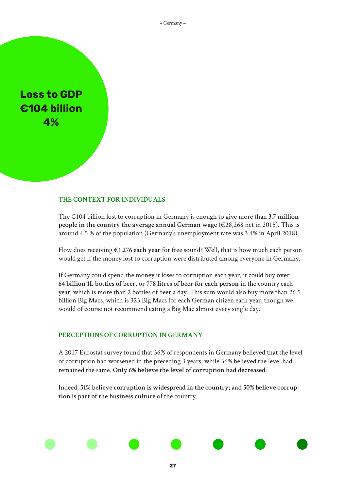– Germany –

## **Loss to GDP €104 billion 4%**

#### **THE CONTEXT FOR INDIVIDUALS**

The €104 billion lost to corruption in Germany is enough to give more than **3.7 million people in the country the average annual German wage** (€28,268 net in 2015). This is around 4.5 % of the population (Germany's unemployment rate was 3.4% in April 2018).

How does receiving **€1,276 each year** for free sound? Well, that is how much each person would get if the money lost to corruption were distributed among everyone in Germany.

If Germany could spend the money it loses to corruption each year, it could buy **over 64 billion 1L bottles of beer**, or **778 litres of beer for each person** in the country each year, which is more than 2 bottles of beer a day. This sum would also buy more than 26.5 billion Big Macs, which is 323 Big Macs for each German citizen each year, though we would of course not recommend eating a Big Mac almost every single day.

#### **PERCEPTIONS OF CORRUPTION IN GERMANY**

A 2017 Eurostat survey found that 36% of respondents in Germany believed that the level of corruption had worsened in the preceding 3 years, while 36% believed the level had remained the same. **Only 6% believe the level of corruption had decreased**.

Indeed, **51% believe corruption is widespread in the country**; and **50% believe corruption is part of the business culture** of the country.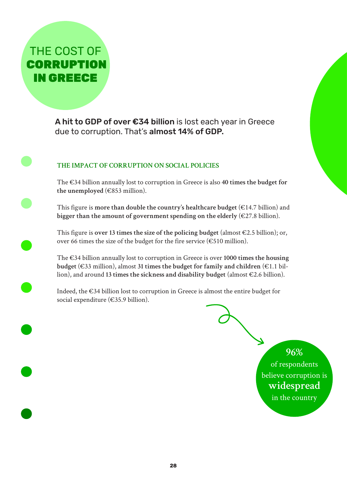THE COST OF **CORRUPTION** IN GREECE

> A hit to GDP of over €34 billion is lost each year in Greece due to corruption. That's almost 14% of GDP.

## **THE IMPACT OF CORRUPTION ON SOCIAL POLICIES**

The €34 billion annually lost to corruption in Greece is also **40 times the budget for the unemployed** (€853 million).

This figure is **more than double the country's healthcare budget**  $(E14.7 \text{ billion})$  and **bigger than the amount of government spending on the elderly** (€27.8 billion).

This figure is **over 13 times the size of the policing budget** (almost €2.5 billion); or, over 66 times the size of the budget for the fire service ( $€510$  million).

The €34 billion annually lost to corruption in Greece is over **1000 times the housing budget** (€33 million), almost **31 times the budget for family and children** (€1.1 billion), and around **13 times the sickness and disability budget** (almost €2.6 billion).

Indeed, the €34 billion lost to corruption in Greece is almost the entire budget for social expenditure (€35.9 billion).

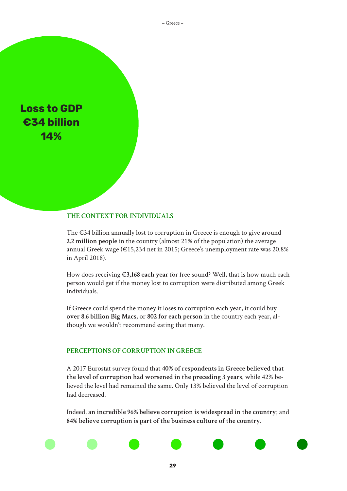– Greece –

**Loss to GDP €34 billion 14%**

#### **THE CONTEXT FOR INDIVIDUALS**

The €34 billion annually lost to corruption in Greece is enough to give around **2.2 million people** in the country (almost 21% of the population) the average annual Greek wage (€15,234 net in 2015; Greece's unemployment rate was 20.8% in April 2018).

How does receiving **€3,168 each year** for free sound? Well, that is how much each person would get if the money lost to corruption were distributed among Greek individuals.

If Greece could spend the money it loses to corruption each year, it could buy **over 8.6 billion Big Macs**, or **802 for each person** in the country each year, although we wouldn't recommend eating that many.

#### **PERCEPTIONS OF CORRUPTION IN GREECE**

A 2017 Eurostat survey found that **40% of respondents in Greece believed that the level of corruption had worsened in the preceding 3 years**, while 42% believed the level had remained the same. Only 13% believed the level of corruption had decreased.

Indeed, **an incredible 96% believe corruption is widespread in the country**; and **84% believe corruption is part of the business culture of the country**.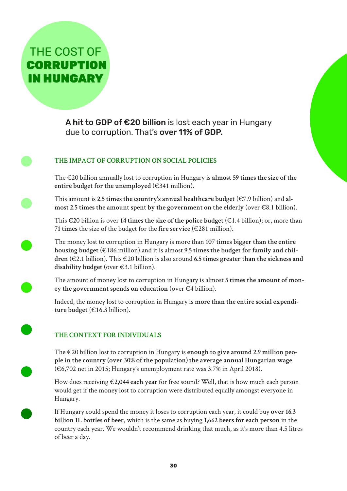## THE COST OF **CORRUPTION** IN HUNGARY

A hit to GDP of €20 billion is lost each year in Hungary due to corruption. That's over 11% of GDP.

## **THE IMPACT OF CORRUPTION ON SOCIAL POLICIES**

The €20 billion annually lost to corruption in Hungary is **almost 59 times the size of the entire budget for the unemployed** (€341 million).

This amount is **2.5 times the country's annual healthcare budget** (€7.9 billion) and **almost 2.5 times the amount spent by the government on the elderly** (over €8.1 billion).

This €20 billion is over **14 times the size of the police budget** (€1.4 billion); or, more than **71 times** the size of the budget for the **fire service** (€281 million).

The money lost to corruption in Hungary is more than **107 times bigger than the entire housing budget** (€186 million) and it is almost **9.5 times the budget for family and children** (€2.1 billion). This €20 billion is also around **6.5 times greater than the sickness and disability budget** (over €3.1 billion).

The amount of money lost to corruption in Hungary is almost **5 times the amount of money the government spends on education** (over €4 billion).

Indeed, the money lost to corruption in Hungary is **more than the entire social expenditure budget** (€16.3 billion).

## **THE CONTEXT FOR INDIVIDUALS**

The €20 billion lost to corruption in Hungary is **enough to give around 2.9 million people in the country (over 30% of the population) the average annual Hungarian wage** (€6,702 net in 2015; Hungary's unemployment rate was 3.7% in April 2018).

How does receiving **€2,044 each year** for free sound? Well, that is how much each person would get if the money lost to corruption were distributed equally amongst everyone in Hungary.

If Hungary could spend the money it loses to corruption each year, it could buy **over 16.3 billion 1L bottles of beer**, which is the same as buying **1,662 beers for each person** in the country each year. We wouldn't recommend drinking that much, as it's more than 4.5 litres of beer a day.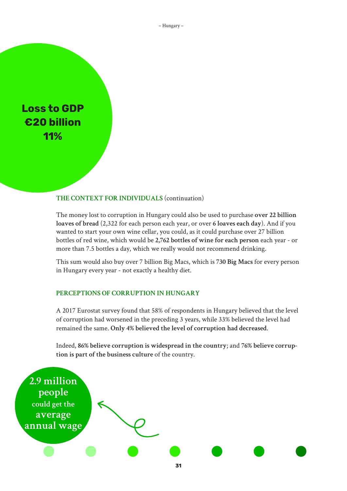– Hungary –

**Loss to GDP €20 billion 11%**

#### **THE CONTEXT FOR INDIVIDUALS** (continuation)

The money lost to corruption in Hungary could also be used to purchase **over 22 billion loaves of bread** (2,322 for each person each year, or over **6 loaves each day**). And if you wanted to start your own wine cellar, you could, as it could purchase over 27 billion bottles of red wine, which would be **2,762 bottles of wine for each person** each year - or more than 7.5 bottles a day, which we really would not recommend drinking.

This sum would also buy over 7 billion Big Macs, which is **730 Big Macs** for every person in Hungary every year - not exactly a healthy diet.

#### **PERCEPTIONS OF CORRUPTION IN HUNGARY**

A 2017 Eurostat survey found that 58% of respondents in Hungary believed that the level of corruption had worsened in the preceding 3 years, while 33% believed the level had remained the same. **Only 4% believed the level of corruption had decreased**.

Indeed, **86% believe corruption is widespread in the country**; and **76% believe corruption is part of the business culture** of the country.

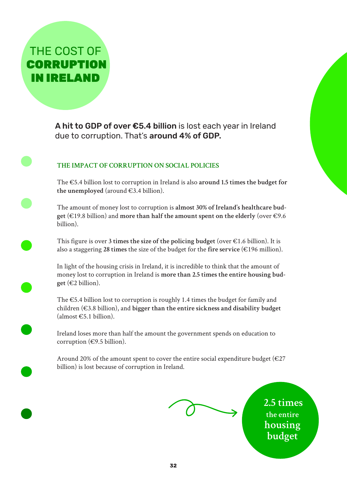

A hit to GDP of over €5.4 billion is lost each year in Ireland due to corruption. That's around 4% of GDP.

## **THE IMPACT OF CORRUPTION ON SOCIAL POLICIES**

The €5.4 billion lost to corruption in Ireland is also **around 1.5 times the budget for**  the unemployed (around  $\in$ 3.4 billion).

The amount of money lost to corruption is **almost 30% of Ireland's healthcare budget** (€19.8 billion) and **more than half the amount spent on the elderly** (over €9.6 billion).

This figure is over 3 times the size of the policing budget (over  $\epsilon$ 1.6 billion). It is also a staggering 28 times the size of the budget for the fire service  $(\epsilon 196$  million).

In light of the housing crisis in Ireland, it is incredible to think that the amount of money lost to corruption in Ireland is **more than 2.5 times the entire housing budget** (€2 billion).

The  $\epsilon$ 5.4 billion lost to corruption is roughly 1.4 times the budget for family and children (€3.8 billion), and **bigger than the entire sickness and disability budget**  $(almost \text{ } \in 5.1 \text{ billion}.$ 

Ireland loses more than half the amount the government spends on education to corruption ( $\epsilon$ 9.5 billion).

Around 20% of the amount spent to cover the entire social expenditure budget ( $\epsilon$ 27 billion) is lost because of corruption in Ireland.

**2.5 times the entire housing budget**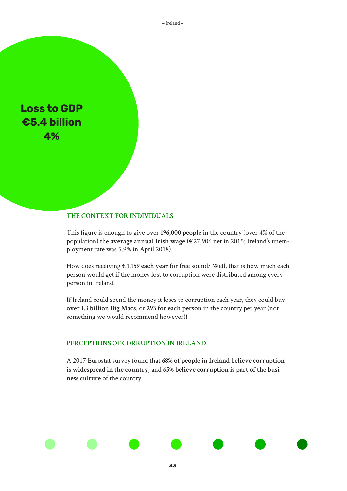**Loss to GDP €5.4 billion 4%**

#### **THE CONTEXT FOR INDIVIDUALS**

This figure is enough to give over **196,000 people** in the country (over 4% of the population) the **average annual Irish wage** (€27,906 net in 2015; Ireland's unemployment rate was 5.9% in April 2018).

How does receiving **€1,159 each year** for free sound? Well, that is how much each person would get if the money lost to corruption were distributed among every person in Ireland.

If Ireland could spend the money it loses to corruption each year, they could buy **over 1.3 billion Big Macs**, or **293 for each person** in the country per year (not something we would recommend however)!

#### **PERCEPTIONS OF CORRUPTION IN IRELAND**

A 2017 Eurostat survey found that **68% of people in Ireland believe corruption is widespread in the country**; and 6**5% believe corruption is part of the business culture** of the country.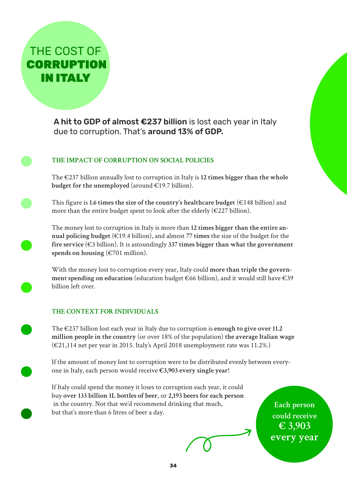

A hit to GDP of almost €237 billion is lost each year in Italy due to corruption. That's around 13% of GDP.

## **THE IMPACT OF CORRUPTION ON SOCIAL POLICIES**

The €237 billion annually lost to corruption in Italy is **12 times bigger than the whole budget for the unemployed** (around €19.7 billion).

This figure is **1.6 times the size of the country's healthcare budget** (€148 billion) and more than the entire budget spent to look after the elderly  $(\epsilon 227$  billion).

The money lost to corruption in Italy is more than **12 times bigger than the entire annual policing budget** (€19.4 billion), and almost **77 times** the size of the budget for the **fire service** (€3 billion). It is astoundingly **337 times bigger than what the government spends on housing** (€701 million).

With the money lost to corruption every year, Italy could **more than triple the government spending on education** (education budget €66 billion), and it would still have €39 billion left over.

#### **THE CONTEXT FOR INDIVIDUALS**

The €237 billion lost each year in Italy due to corruption is **enough to give over 11.2 million people in the country** (or over 18% of the population) **the average Italian wage**  (€21,114 net per year in 2015. Italy's April 2018 unemployment rate was 11.2%.)

If the amount of money lost to corruption were to be distributed evenly between everyone in Italy, each person would receive **€3,903 every single year**!

If Italy could spend the money it loses to corruption each year, it could buy **over 133 billion 1L bottles of beer**, or **2,193 beers for each person** in the country. Not that we'd recommend drinking that much, but that's more than 6 litres of beer a day.

**Each person could receive € 3,903 every year**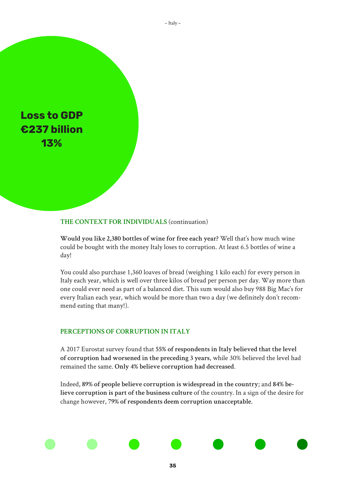

#### **THE CONTEXT FOR INDIVIDUALS** (continuation)

**Would you like 2,380 bottles of wine for free each year?** Well that's how much wine could be bought with the money Italy loses to corruption. At least 6.5 bottles of wine a day!

You could also purchase 1,360 loaves of bread (weighing 1 kilo each) for every person in Italy each year, which is well over three kilos of bread per person per day. Way more than one could ever need as part of a balanced diet. This sum would also buy 988 Big Mac's for every Italian each year, which would be more than two a day (we definitely don't recommend eating that many!).

#### **PERCEPTIONS OF CORRUPTION IN ITALY**

A 2017 Eurostat survey found that **55% of respondents in Italy believed that the level of corruption had worsened in the preceding 3 years**, while 30% believed the level had remained the same. **Only 4% believe corruption had decreased**.

Indeed, **89% of people believe corruption is widespread in the country**; and **84% believe corruption is part of the business culture** of the country. In a sign of the desire for change however, **79% of respondents deem corruption unacceptable**.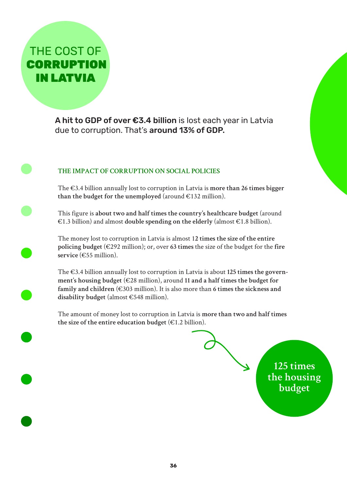## THE COST OF **CORRUPTION** IN LATVIA

A hit to GDP of over €3.4 billion is lost each year in Latvia due to corruption. That's around 13% of GDP.

## **THE IMPACT OF CORRUPTION ON SOCIAL POLICIES**

The €3.4 billion annually lost to corruption in Latvia is **more than 26 times bigger**  than the budget for the unemployed (around  $\epsilon$ 132 million).

This figure is **about two and half times the country's healthcare budget** (around €1.3 billion) and almost **double spending on the elderly** (almost €1.8 billion).

The money lost to corruption in Latvia is almost 1**2 times the size of the entire policing budget** (€292 million); or, over **63 times** the size of the budget for the **fire service** (€55 million).

The €3.4 billion annually lost to corruption in Latvia is about **125 times the government's housing budget** (€28 million), around **11 and a half times the budget for family and children** (€303 million). It is also more than **6 times the sickness and disability budget** (almost €548 million).

The amount of money lost to corruption in Latvia is **more than two and half times the size of the entire education budget** (€1.2 billion).

> **125 times the housing budget**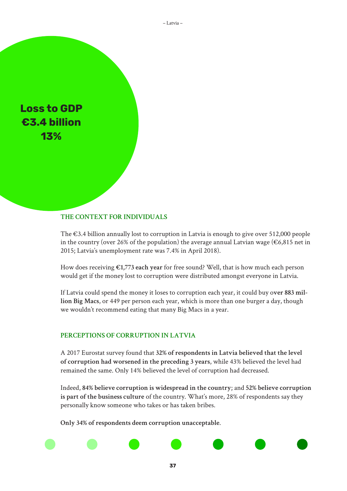

#### **THE CONTEXT FOR INDIVIDUALS**

The  $\epsilon$ 3.4 billion annually lost to corruption in Latvia is enough to give over 512,000 people in the country (over 26% of the population) the average annual Latvian wage ( $\epsilon$ 6,815 net in 2015; Latvia's unemployment rate was 7.4% in April 2018).

How does receiving **€1,773 each year** for free sound? Well, that is how much each person would get if the money lost to corruption were distributed amongst everyone in Latvia.

If Latvia could spend the money it loses to corruption each year, it could buy o**ver 883 million Big Macs**, or 449 per person each year, which is more than one burger a day, though we wouldn't recommend eating that many Big Macs in a year.

#### **PERCEPTIONS OF CORRUPTION IN LATVIA**

A 2017 Eurostat survey found that **32% of respondents in Latvia believed that the level of corruption had worsened in the preceding 3 years**, while 43% believed the level had remained the same. Only 14% believed the level of corruption had decreased.

Indeed, **84% believe corruption is widespread in the country**; and **52% believe corruption is part of the business culture** of the country. What's more, 28% of respondents say they personally know someone who takes or has taken bribes.

**Only 34% of respondents deem corruption unacceptable**.

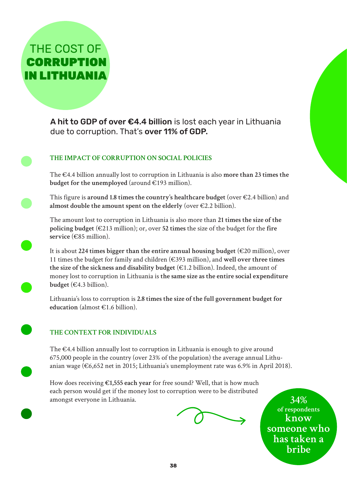CORRUPTION IN LITHUANIA

THE COST OF

A hit to GDP of over €4.4 billion is lost each year in Lithuania due to corruption. That's over 11% of GDP.

## **THE IMPACT OF CORRUPTION ON SOCIAL POLICIES**

The €4.4 billion annually lost to corruption in Lithuania is also **more than 23 times the budget for the unemployed** (around  $\in$ 193 million).

This figure is **around 1.8 times the country's healthcare budget** (over €2.4 billion) and **almost double the amount spent on the elderly** (over €2.2 billion).

The amount lost to corruption in Lithuania is also more than **21 times the size of the policing budget** (€213 million); or, over **52 times** the size of the budget for the **fire service** (€85 million).

It is about **224 times bigger than the entire annual housing budget** (€20 million), over 11 times the budget for family and children (€393 million), and **well over three times the size of the sickness and disability budget** (€1.2 billion). Indeed, the amount of money lost to corruption in Lithuania is **the same size as the entire social expenditure budget** (€4.3 billion).

Lithuania's loss to corruption is **2.8 times the size of the full government budget for education** (almost €1.6 billion).

## **THE CONTEXT FOR INDIVIDUALS**

The €4.4 billion annually lost to corruption in Lithuania is enough to give around 675,000 people in the country (over 23% of the population) the average annual Lithuanian wage (€6,652 net in 2015; Lithuania's unemployment rate was 6.9% in April 2018).

How does receiving **€1,555 each year** for free sound? Well, that is how much each person would get if the money lost to corruption were to be distributed amongst everyone in Lithuania.

**34% of respondents know someone who has taken a bribe**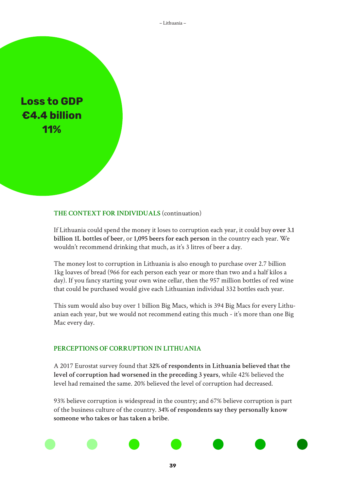– Lithuania –

**Loss to GDP €4.4 billion 11%**

#### **THE CONTEXT FOR INDIVIDUALS** (continuation)

If Lithuania could spend the money it loses to corruption each year, it could buy **over 3.1 billion 1L bottles of beer**, or **1,095 beers for each person** in the country each year. We wouldn't recommend drinking that much, as it's 3 litres of beer a day.

The money lost to corruption in Lithuania is also enough to purchase over 2.7 billion 1kg loaves of bread (966 for each person each year or more than two and a half kilos a day). If you fancy starting your own wine cellar, then the 957 million bottles of red wine that could be purchased would give each Lithuanian individual 332 bottles each year.

This sum would also buy over 1 billion Big Macs, which is 394 Big Macs for every Lithuanian each year, but we would not recommend eating this much - it's more than one Big Mac every day.

#### **PERCEPTIONS OF CORRUPTION IN LITHUANIA**

A 2017 Eurostat survey found that **32% of respondents in Lithuania believed that the level of corruption had worsened in the preceding 3 years**, while 42% believed the level had remained the same. 20% believed the level of corruption had decreased.

93% believe corruption is widespread in the country; and 67% believe corruption is part of the business culture of the country. **34% of respondents say they personally know someone who takes or has taken a bribe**.

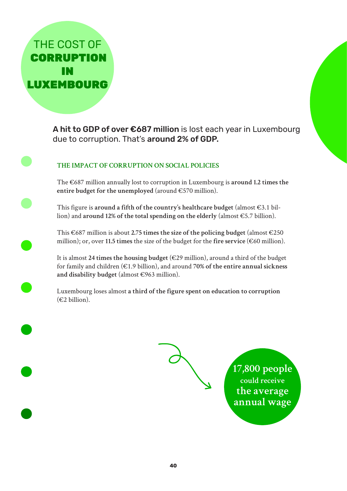THE COST OF **CORRUPTION** IN LUXEMBOURG

> A hit to GDP of over €687 million is lost each year in Luxembourg due to corruption. That's around 2% of GDP.

## **THE IMPACT OF CORRUPTION ON SOCIAL POLICIES**

The €687 million annually lost to corruption in Luxembourg is **around 1.2 times the entire budget for the unemployed** (around €570 million).

This figure is **around a fifth of the country's healthcare budget** (almost €3.1 billion) and **around 12% of the total spending on the elderly** (almost €5.7 billion).

This €687 million is about **2.75 times the size of the policing budget** (almost €250 million); or, over **11.5 times** the size of the budget for the **fire service** (€60 million).

It is almost **24 times the housing budget** (€29 million), around a third of the budget for family and children (€1.9 billion), and around **70% of the entire annual sickness and disability budget** (almost €963 million).

Luxembourg loses almost **a third of the figure spent on education to corruption** (€2 billion).



**17,800 people could receive the average annual wage**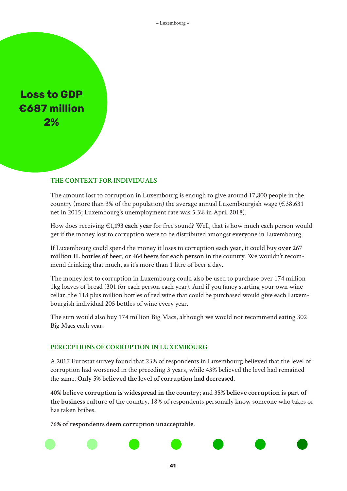**Loss to GDP €687 million 2%**

#### **THE CONTEXT FOR INDIVIDUALS**

The amount lost to corruption in Luxembourg is enough to give around 17,800 people in the country (more than 3% of the population) the average annual Luxembourgish wage ( $\epsilon$ 38,631 net in 2015; Luxembourg's unemployment rate was 5.3% in April 2018).

How does receiving **€1,193 each year** for free sound? Well, that is how much each person would get if the money lost to corruption were to be distributed amongst everyone in Luxembourg.

If Luxembourg could spend the money it loses to corruption each year, it could buy **over 267 million 1L bottles of beer**, or **464 beers for each person** in the country. We wouldn't recommend drinking that much, as it's more than 1 litre of beer a day.

The money lost to corruption in Luxembourg could also be used to purchase over 174 million 1kg loaves of bread (301 for each person each year). And if you fancy starting your own wine cellar, the 118 plus million bottles of red wine that could be purchased would give each Luxembourgish individual 205 bottles of wine every year.

The sum would also buy 174 million Big Macs, although we would not recommend eating 302 Big Macs each year.

#### **PERCEPTIONS OF CORRUPTION IN LUXEMBOURG**

A 2017 Eurostat survey found that 23% of respondents in Luxembourg believed that the level of corruption had worsened in the preceding 3 years, while 43% believed the level had remained the same. **Only 5% believed the level of corruption had decreased**.

**40% believe corruption is widespread in the country**; and 3**5% believe corruption is part of the business culture** of the country. 18% of respondents personally know someone who takes or has taken bribes.

**76% of respondents deem corruption unacceptable**.

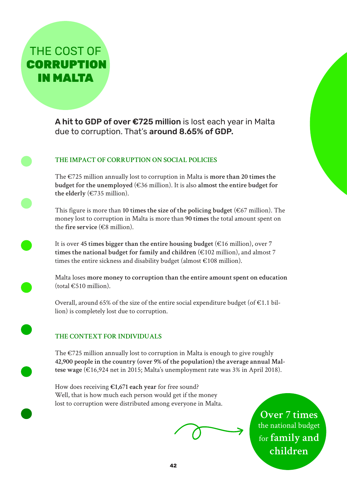THE COST OF **CORRUPTION** IN MALTA

> A hit to GDP of over €725 million is lost each year in Malta due to corruption. That's around 8.65% of GDP.

## **THE IMPACT OF CORRUPTION ON SOCIAL POLICIES**

The €725 million annually lost to corruption in Malta is **more than 20 times the budget for the unemployed** ( $\epsilon$ 36 million). It is also almost the entire budget for **the elderly** (€735 million).

This figure is more than **10 times the size of the policing budget** (€67 million). The money lost to corruption in Malta is more than **90 times** the total amount spent on the **fire service** (€8 million).

It is over **45 times bigger than the entire housing budget** (€16 million), over **7 times the national budget for family and children** (€102 million), and almost 7 times the entire sickness and disability budget (almost €108 million).

Malta loses **more money to corruption than the entire amount spent on education**   $(total \epsilon 510$  million).

Overall, around 65% of the size of the entire social expenditure budget (of  $\epsilon$ 1.1 billion) is completely lost due to corruption.

## **THE CONTEXT FOR INDIVIDUALS**

The  $\epsilon$ 725 million annually lost to corruption in Malta is enough to give roughly **42,900 people in the country (over 9% of the population) the average annual Maltese wage** (€16,924 net in 2015; Malta's unemployment rate was 3% in April 2018).

How does receiving **€1,671 each year** for free sound? Well, that is how much each person would get if the money lost to corruption were distributed among everyone in Malta.

**Over 7 times**  the national budget for **family and children**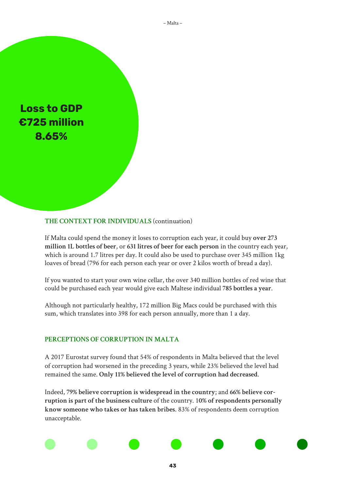

#### **THE CONTEXT FOR INDIVIDUALS** (continuation)

If Malta could spend the money it loses to corruption each year, it could buy **over 273 million 1L bottles of beer**, or **631 litres of beer for each person** in the country each year, which is around 1.7 litres per day. It could also be used to purchase over 345 million 1kg loaves of bread (796 for each person each year or over 2 kilos worth of bread a day).

If you wanted to start your own wine cellar, the over 340 million bottles of red wine that could be purchased each year would give each Maltese individual **785 bottles a year**.

Although not particularly healthy, 172 million Big Macs could be purchased with this sum, which translates into 398 for each person annually, more than 1 a day.

#### **PERCEPTIONS OF CORRUPTION IN MALTA**

A 2017 Eurostat survey found that 54% of respondents in Malta believed that the level of corruption had worsened in the preceding 3 years, while 23% believed the level had remained the same. **Only 11% believed the level of corruption had decreased**.

Indeed, **79% believe corruption is widespread in the country**; and **66% believe corruption is part of the business culture** of the country. 1**0% of respondents personally know someone who takes or has taken bribes**. 83% of respondents deem corruption unacceptable.

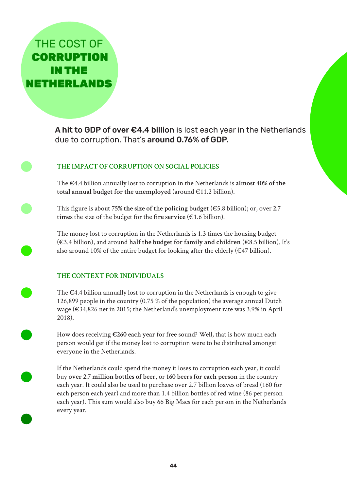THE COST OF **CORRUPTION** IN THE NETHERLANDS

> A hit to GDP of over  $\epsilon$ 4.4 billion is lost each year in the Netherlands due to corruption. That's around 0.76% of GDP.

### **THE IMPACT OF CORRUPTION ON SOCIAL POLICIES**

The €4.4 billion annually lost to corruption in the Netherlands is **almost 40% of the total annual budget for the unemployed** (around €11.2 billion).

This figure is about **75% the size of the policing budget** (€5.8 billion); or, over **2.7**  times the size of the budget for the fire service  $(\epsilon 1.6 \text{ billion})$ .

The money lost to corruption in the Netherlands is 1.3 times the housing budget (€3.4 billion), and around **half the budget for family and children** (€8.5 billion). It's also around 10% of the entire budget for looking after the elderly ( $€47$  billion).

#### **THE CONTEXT FOR INDIVIDUALS**

The €4.4 billion annually lost to corruption in the Netherlands is enough to give 126,899 people in the country (0.75 % of the population) the average annual Dutch wage (€34,826 net in 2015; the Netherland's unemployment rate was 3.9% in April 2018).

How does receiving **€260 each year** for free sound? Well, that is how much each person would get if the money lost to corruption were to be distributed amongst everyone in the Netherlands.

If the Netherlands could spend the money it loses to corruption each year, it could buy **over 2.7 million bottles of beer**, or **160 beers for each person** in the country each year. It could also be used to purchase over 2.7 billion loaves of bread (160 for each person each year) and more than 1.4 billion bottles of red wine (86 per person each year). This sum would also buy 66 Big Macs for each person in the Netherlands every year.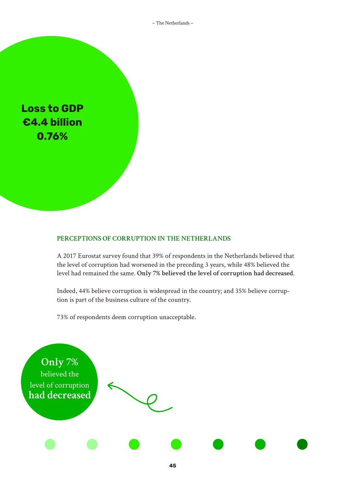– The Netherlands –



#### **PERCEPTIONS OF CORRUPTION IN THE NETHERLANDS**

A 2017 Eurostat survey found that 39% of respondents in the Netherlands believed that the level of corruption had worsened in the preceding 3 years, while 48% believed the level had remained the same. **Only 7% believed the level of corruption had decreased**.

Indeed, 44% believe corruption is widespread in the country; and 35% believe corruption is part of the business culture of the country.

73% of respondents deem corruption unacceptable.

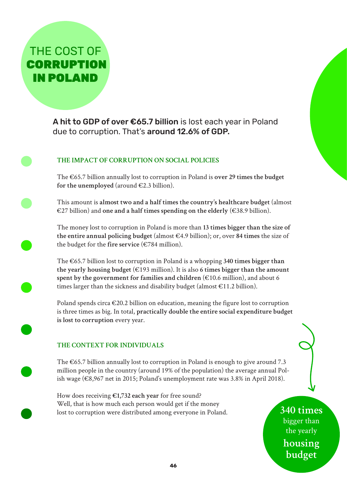THE COST OF **CORRUPTION** IN POLAND

> A hit to GDP of over €65.7 billion is lost each year in Poland due to corruption. That's around 12.6% of GDP.

## **THE IMPACT OF CORRUPTION ON SOCIAL POLICIES**

The €65.7 billion annually lost to corruption in Poland is **over 29 times the budget**  for the unemployed  $(\text{around } \in 2.3 \text{ billion}).$ 

This amount is **almost two and a half times the country's healthcare budget** (almost €27 billion) and **one and a half times spending on the elderly** (€38.9 billion).

The money lost to corruption in Poland is more than **13 times bigger than the size of the entire annual policing budget** (almost €4.9 billion); or, over **84 times** the size of the budget for the fire service  $(\epsilon$ 784 million).

The €65.7 billion lost to corruption in Poland is a whopping **340 times bigger than the yearly housing budget** (€193 million). It is also **6 times bigger than the amount spent by the government for families and children** (€10.6 million), and about 6 times larger than the sickness and disability budget (almost  $\epsilon$ 11.2 billion).

Poland spends circa  $\epsilon$ 20.2 billion on education, meaning the figure lost to corruption is three times as big. In total, **practically double the entire social expenditure budget is lost to corruption** every year.

#### **THE CONTEXT FOR INDIVIDUALS**

The  $\epsilon$ 65.7 billion annually lost to corruption in Poland is enough to give around 7.3 million people in the country (around 19% of the population) the average annual Polish wage (€8,967 net in 2015; Poland's unemployment rate was 3.8% in April 2018).

How does receiving **€1,732 each year** for free sound? Well, that is how much each person would get if the money lost to corruption were distributed among everyone in Poland.

**340 times** bigger than the yearly **housing budget**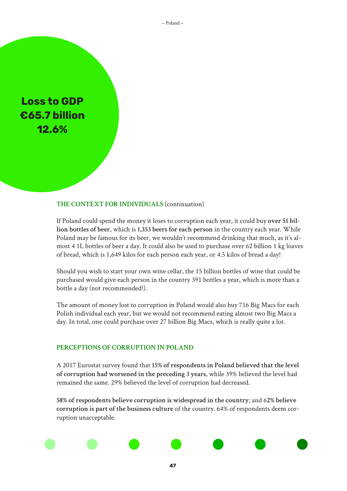– Poland –

**Loss to GDP €65.7 billion 12.6%**

#### **THE CONTEXT FOR INDIVIDUALS** (continuation)

If Poland could spend the money it loses to corruption each year, it could buy **over 51 billion bottles of beer**, which is **1,353 beers for each person** in the country each year. While Poland may be famous for its beer, we wouldn't recommend drinking that much, as it's almost 4 1L bottles of beer a day. It could also be used to purchase over 62 billion 1 kg loaves of bread, which is 1,649 kilos for each person each year, or 4.5 kilos of bread a day!

Should you wish to start your own wine cellar, the 15 billion bottles of wine that could be purchased would give each person in the country 391 bottles a year, which is more than a bottle a day (not recommended!).

The amount of money lost to corruption in Poland would also buy 716 Big Macs for each Polish individual each year, but we would not recommend eating almost two Big Macs a day. In total, one could purchase over 27 billion Big Macs, which is really quite a lot.

#### **PERCEPTIONS OF CORRUPTION IN POLAND**

A 2017 Eurostat survey found that **15% of respondents in Poland believed that the level of corruption had worsened in the preceding 3 years**, while 39% believed the level had remained the same. 29% believed the level of corruption had decreased.

**58% of respondents believe corruption is widespread in the country**; and 6**2% believe corruption is part of the business culture** of the country. 64% of respondents deem corruption unacceptable.

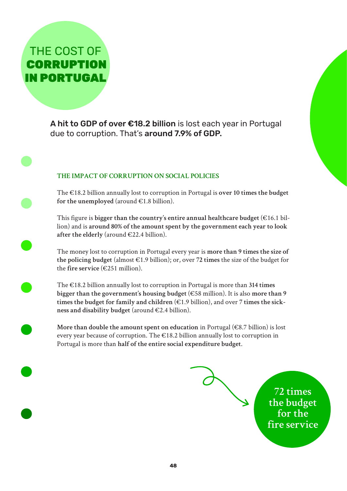THE COST OF **CORRUPTION** IN PORTUGAL

> A hit to GDP of over €18.2 billion is lost each year in Portugal due to corruption. That's around 7.9% of GDP.

### **THE IMPACT OF CORRUPTION ON SOCIAL POLICIES**

The €18.2 billion annually lost to corruption in Portugal is **over 10 times the budget**  for the unemployed  $(\text{around } \in 1.8 \text{ billion}).$ 

This figure is **bigger than the country's entire annual healthcare budget** (€16.1 billion) and is **around 80% of the amount spent by the government each year to look after the elderly** (around €22.4 billion).

The money lost to corruption in Portugal every year is **more than 9 times the size of the policing budget** (almost €1.9 billion); or, over **72 times** the size of the budget for the fire service  $(\epsilon$ 251 million).

The €18.2 billion annually lost to corruption in Portugal is more than **314 times bigger than the government's housing budget** (€58 million). It is also **more than 9 times the budget for family and children** (€1.9 billion), and over **7 times the sickness and disability budget** (around €2.4 billion).

**More than double the amount spent on education** in Portugal (€8.7 billion) is lost every year because of corruption. The €18.2 billion annually lost to corruption in Portugal is more than **half of the entire social expenditure budget**.

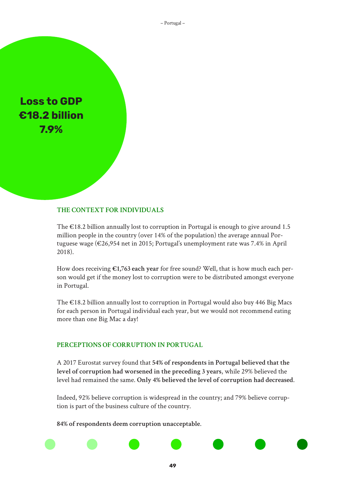– Portugal –

**Loss to GDP €18.2 billion 7.9%**

## **THE CONTEXT FOR INDIVIDUALS**

The  $\epsilon$ 18.2 billion annually lost to corruption in Portugal is enough to give around 1.5 million people in the country (over 14% of the population) the average annual Portuguese wage (€26,954 net in 2015; Portugal's unemployment rate was 7.4% in April 2018).

How does receiving **€1,763 each year** for free sound? Well, that is how much each person would get if the money lost to corruption were to be distributed amongst everyone in Portugal.

The €18.2 billion annually lost to corruption in Portugal would also buy 446 Big Macs for each person in Portugal individual each year, but we would not recommend eating more than one Big Mac a day!

#### **PERCEPTIONS OF CORRUPTION IN PORTUGAL**

A 2017 Eurostat survey found that **54% of respondents in Portugal believed that the level of corruption had worsened in the preceding 3 years**, while 29% believed the level had remained the same. **Only 4% believed the level of corruption had decreased**.

Indeed, 92% believe corruption is widespread in the country; and 79% believe corruption is part of the business culture of the country.

**49**

**84% of respondents deem corruption unacceptable**.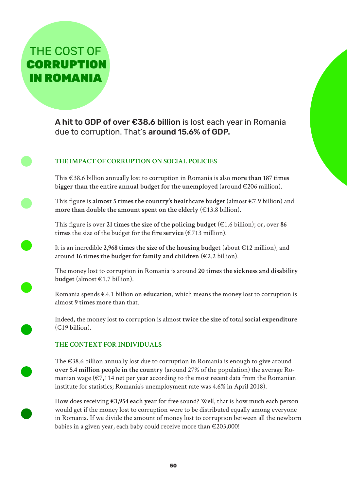THE COST OF **CORRUPTION** IN ROMANIA

> A hit to GDP of over €38.6 billion is lost each year in Romania due to corruption. That's around 15.6% of GDP.

## **THE IMPACT OF CORRUPTION ON SOCIAL POLICIES**

This €38.6 billion annually lost to corruption in Romania is also **more than 187 times bigger than the entire annual budget for the unemployed** (around  $\epsilon$ 206 million).

This figure is **almost 5 times the country's healthcare budget** (almost €7.9 billion) and **more than double the amount spent on the elderly** (€13.8 billion).

This figure is over **21 times the size of the policing budget** (€1.6 billion); or, over **86 times** the size of the budget for the fire service  $(\epsilon 713$  million).

It is an incredible **2,968 times the size of the housing budget** (about €12 million), and around **16 times the budget for family and children** (€2.2 billion).

The money lost to corruption in Romania is around **20 times the sickness and disability budget** (almost €1.7 billion).

Romania spends €4.1 billion on **education**, which means the money lost to corruption is almost **9 times more** than that.

Indeed, the money lost to corruption is almost **twice the size of total social expenditure**   $(E19 \text{ billion}).$ 

## **THE CONTEXT FOR INDIVIDUALS**

The €38.6 billion annually lost due to corruption in Romania is enough to give around **over 5.4 million people in the country** (around 27% of the population) the average Romanian wage  $(\epsilon 7, 114$  net per year according to the most recent data from the Romanian institute for statistics; Romania's unemployment rate was 4.6% in April 2018).

How does receiving **€1,954 each year** for free sound? Well, that is how much each person would get if the money lost to corruption were to be distributed equally among everyone in Romania. If we divide the amount of money lost to corruption between all the newborn babies in a given year, each baby could receive more than  $\epsilon$ 203,000!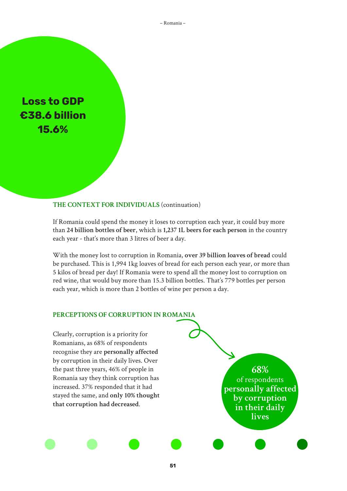– Romania –

**Loss to GDP €38.6 billion 15.6%**

#### **THE CONTEXT FOR INDIVIDUALS** (continuation)

If Romania could spend the money it loses to corruption each year, it could buy more than **24 billion bottles of beer**, which is **1,237 1L beers for each person** in the country each year - that's more than 3 litres of beer a day.

With the money lost to corruption in Romania, **over 39 billion loaves of bread** could be purchased. This is 1,994 1kg loaves of bread for each person each year, or more than 5 kilos of bread per day! If Romania were to spend all the money lost to corruption on red wine, that would buy more than 15.3 billion bottles. That's 779 bottles per person each year, which is more than 2 bottles of wine per person a day.

#### **PERCEPTIONS OF CORRUPTION IN ROMANIA**

Clearly, corruption is a priority for Romanians, as 68% of respondents recognise they are **personally affected** by corruption in their daily lives. Over the past three years, 46% of people in Romania say they think corruption has increased. 37% responded that it had stayed the same, and **only 10% thought that corruption had decreased**.

**68%**  of respondents **personally affected by corruption in their daily lives**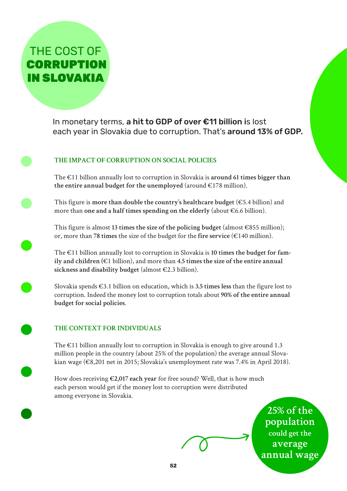THE COST OF **CORRUPTION** IN SLOVAKIA

> In monetary terms, a hit to GDP of over €11 billion is lost each year in Slovakia due to corruption. That's around 13% of GDP.

## **THE IMPACT OF CORRUPTION ON SOCIAL POLICIES**

The €11 billion annually lost to corruption in Slovakia is **around 61 times bigger than**  the entire annual budget for the unemployed (around  $E178$  million).

This figure is **more than double the country's healthcare budget** (€5.4 billion) and more than **one and a half times spending on the elderly** (about €6.6 billion).

This figure is almost **13 times the size of the policing budget** (almost €855 million); or, more than **78 times** the size of the budget for the **fire service** (€140 million).

The €11 billion annually lost to corruption in Slovakia is **10 times the budget for family and children (**€1 billion), and more than **4.5 times the size of the entire annual sickness and disability budget** (almost €2.3 billion).

Slovakia spends €3.1 billion on education, which is **3.5 times less** than the figure lost to corruption. Indeed the money lost to corruption totals about **90% of the entire annual budget for social policies**.

## **THE CONTEXT FOR INDIVIDUALS**

The  $\epsilon$ 11 billion annually lost to corruption in Slovakia is enough to give around 1.3 million people in the country (about 25% of the population) the average annual Slovakian wage (€8,201 net in 2015; Slovakia's unemployment rate was 7.4% in April 2018).

How does receiving **€2,017 each year** for free sound? Well, that is how much each person would get if the money lost to corruption were distributed among everyone in Slovakia.

> **25% of the population could get the average annual wage**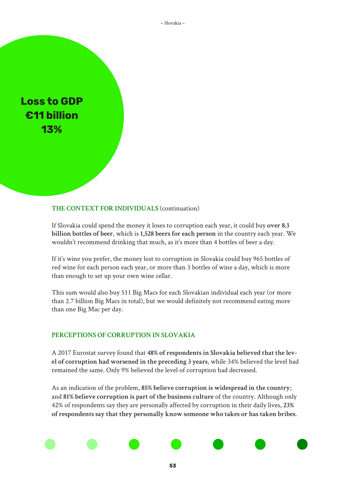– Slovakia –

**Loss to GDP €11 billion 13%**

#### **THE CONTEXT FOR INDIVIDUALS** (continuation)

If Slovakia could spend the money it loses to corruption each year, it could buy **over 8.3 billion bottles of beer**, which is **1,528 beers for each person** in the country each year. We wouldn't recommend drinking that much, as it's more than 4 bottles of beer a day.

If it's wine you prefer, the money lost to corruption in Slovakia could buy 965 bottles of red wine for each person each year, or more than 3 bottles of wine a day, which is more than enough to set up your own wine cellar.

This sum would also buy 511 Big Macs for each Slovakian individual each year (or more than 2.7 billion Big Macs in total), but we would definitely not recommend eating more than one Big Mac per day.

#### **PERCEPTIONS OF CORRUPTION IN SLOVAKIA**

A 2017 Eurostat survey found that **48% of respondents in Slovakia believed that the level of corruption had worsened in the preceding 3 years**, while 34% believed the level had remained the same. Only 9% believed the level of corruption had decreased.

As an indication of the problem, **85% believe corruption is widespread in the country**; and **81% believe corruption is part of the business culture** of the country. Although only 42% of respondents say they are personally affected by corruption in their daily lives, **23% of respondents say that they personally know someone who takes or has taken bribes**.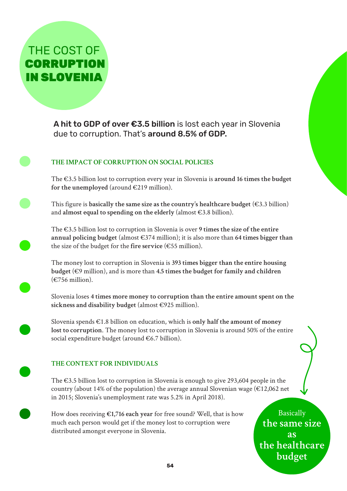**CORRUPTION** IN SLOVENIA

THE COST OF

A hit to GDP of over €3.5 billion is lost each year in Slovenia due to corruption. That's around 8.5% of GDP.

## **THE IMPACT OF CORRUPTION ON SOCIAL POLICIES**

The €3.5 billion lost to corruption every year in Slovenia is **around 16 times the budget**  for the unemployed (around  $\in$ 219 million).

This figure is **basically the same size as the country's healthcare budget** (€3.3 billion) and **almost equal to spending on the elderly** (almost €3.8 billion).

The €3.5 billion lost to corruption in Slovenia is over **9 times the size of the entire annual policing budget** (almost €374 million); it is also more than **64 times bigger than** the size of the budget for the **fire service** (€55 million).

The money lost to corruption in Slovenia is **393 times bigger than the entire housing budget** (€9 million), and is more than **4.5 times the budget for family and children**  $(\epsilon$ 756 million).

Slovenia loses **4 times more money to corruption than the entire amount spent on the sickness and disability budget** (almost €925 million).

Slovenia spends €1.8 billion on education, which is **only half the amount of money lost to corruption**. The money lost to corruption in Slovenia is around 50% of the entire social expenditure budget (around €6.7 billion).

## **THE CONTEXT FOR INDIVIDUALS**

The €3.5 billion lost to corruption in Slovenia is enough to give 293,604 people in the country (about 14% of the population) the average annual Slovenian wage ( $\epsilon$ 12,062 net in 2015; Slovenia's unemployment rate was 5.2% in April 2018).

How does receiving **€1,716 each year** for free sound? Well, that is how much each person would get if the money lost to corruption were distributed amongst everyone in Slovenia.

**Basically the same size as the healthcare budget**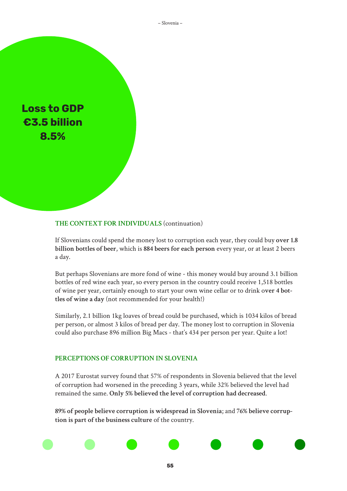– Slovenia –

**Loss to GDP €3.5 billion 8.5%**

#### **THE CONTEXT FOR INDIVIDUALS** (continuation)

If Slovenians could spend the money lost to corruption each year, they could buy **over 1.8 billion bottles of beer**, which is **884 beers for each person** every year, or at least 2 beers a day.

But perhaps Slovenians are more fond of wine - this money would buy around 3.1 billion bottles of red wine each year, so every person in the country could receive 1,518 bottles of wine per year, certainly enough to start your own wine cellar or to drink o**ver 4 bottles of wine a day** (not recommended for your health!)

Similarly, 2.1 billion 1kg loaves of bread could be purchased, which is 1034 kilos of bread per person, or almost 3 kilos of bread per day. The money lost to corruption in Slovenia could also purchase 896 million Big Macs - that's 434 per person per year. Quite a lot!

#### **PERCEPTIONS OF CORRUPTION IN SLOVENIA**

A 2017 Eurostat survey found that 57% of respondents in Slovenia believed that the level of corruption had worsened in the preceding 3 years, while 32% believed the level had remained the same. **Only 5% believed the level of corruption had decreased**.

**89% of people believe corruption is widespread in Slovenia**; and **76% believe corruption is part of the business culture** of the country.

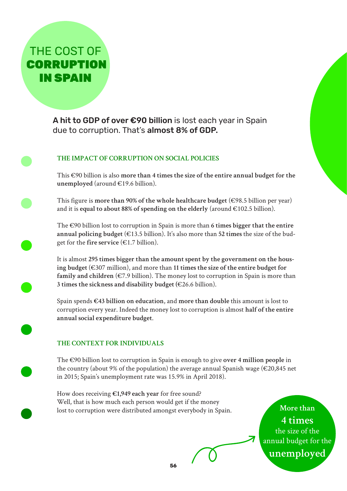THE COST OF **CORRUPTION** IN SPAIN

> A hit to GDP of over €90 billion is lost each year in Spain due to corruption. That's almost 8% of GDP.

## **THE IMPACT OF CORRUPTION ON SOCIAL POLICIES**

This €90 billion is also **more than 4 times the size of the entire annual budget for the unemployed** (around €19.6 billion).

This figure is **more than 90% of the whole healthcare budget** (€98.5 billion per year) and it is **equal to about 88% of spending on the elderly** (around €102.5 billion).

The €90 billion lost to corruption in Spain is more than **6 times bigger that the entire**  annual policing budget  $(\epsilon 13.5 \text{ billion})$ . It's also more than 52 times the size of the budget for the **fire service** (€1.7 billion).

It is almost **295 times bigger than the amount spent by the government on the housing budget** (€307 million), and more than **11 times the size of the entire budget for family and children** ( $\epsilon$ 7.9 billion). The money lost to corruption in Spain is more than **3 times the sickness and disability budget (**€26.6 billion).

Spain spends **€43 billion on education**, and **more than double** this amount is lost to corruption every year. Indeed the money lost to corruption is almost **half of the entire annual social expenditure budget**.

## **THE CONTEXT FOR INDIVIDUALS**

The €90 billion lost to corruption in Spain is enough to give **over 4 million people** in the country (about 9% of the population) the average annual Spanish wage ( $\epsilon$ 20,845 net in 2015; Spain's unemployment rate was 15.9% in April 2018).

How does receiving **€1,949 each year** for free sound? Well, that is how much each person would get if the money lost to corruption were distributed amongst everybody in Spain.

**More than 4 times** the size of the annual budget for the **unemployed**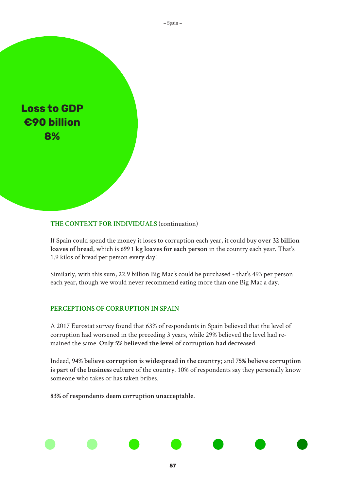

#### **THE CONTEXT FOR INDIVIDUALS** (continuation)

If Spain could spend the money it loses to corruption each year, it could buy **over 32 billion loaves of bread**, which is **699 1 kg loaves for each person** in the country each year. That's 1.9 kilos of bread per person every day!

Similarly, with this sum, 22.9 billion Big Mac's could be purchased - that's 493 per person each year, though we would never recommend eating more than one Big Mac a day.

#### **PERCEPTIONS OF CORRUPTION IN SPAIN**

A 2017 Eurostat survey found that 63% of respondents in Spain believed that the level of corruption had worsened in the preceding 3 years, while 29% believed the level had remained the same. **Only 5% believed the level of corruption had decreased**.

Indeed, **94% believe corruption is widespread in the country**; and **75% believe corruption is part of the business culture** of the country. 10% of respondents say they personally know someone who takes or has taken bribes.

**83% of respondents deem corruption unacceptable**.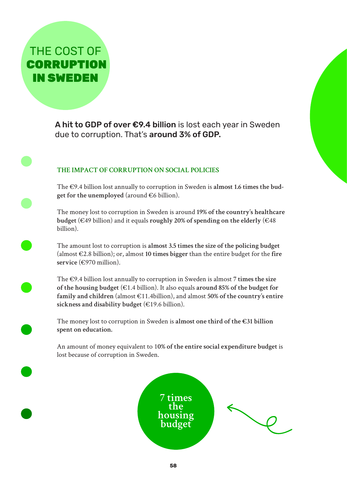THE COST OF **CORRUPTION** IN SWEDEN

> A hit to GDP of over €9.4 billion is lost each year in Sweden due to corruption. That's around 3% of GDP.

## **THE IMPACT OF CORRUPTION ON SOCIAL POLICIES**

The €9.4 billion lost annually to corruption in Sweden is **almost 1.6 times the budget for the unemployed** (around €6 billion).

The money lost to corruption in Sweden is around **19% of the country's healthcare budget** (€49 billion) and it equals **roughly** 20% of spending on the elderly (€48 billion).

The amount lost to corruption is **almost 3.5 times the size of the policing budget** (almost €2.8 billion); or, almost **10 times bigger** than the entire budget for the **fire service** (€970 million).

The €9.4 billion lost annually to corruption in Sweden is almost **7 times the size of the housing budget** (€1.4 billion). It also equals **around 85% of the budget for family and children** (almost €11.4billion), and almost **50% of the country's entire sickness and disability budget** (€19.6 billion).

The money lost to corruption in Sweden is **almost one third of the €31 billion spent on education.** 

An amount of money equivalent to 1**0% of the entire social expenditure budget** is lost because of corruption in Sweden.

> **7 times the housing budget**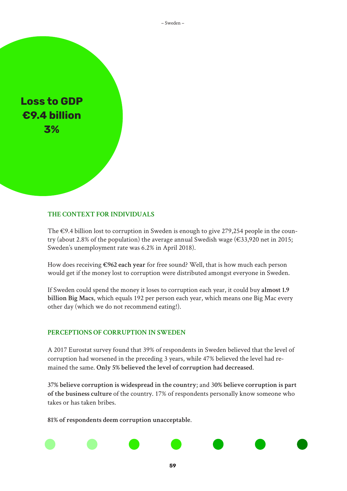– Sweden –

**Loss to GDP €9.4 billion 3%**

### **THE CONTEXT FOR INDIVIDUALS**

The €9.4 billion lost to corruption in Sweden is enough to give 279,254 people in the country (about 2.8% of the population) the average annual Swedish wage ( $\epsilon$ 33,920 net in 2015; Sweden's unemployment rate was 6.2% in April 2018).

How does receiving **€962 each year** for free sound? Well, that is how much each person would get if the money lost to corruption were distributed amongst everyone in Sweden.

If Sweden could spend the money it loses to corruption each year, it could buy **almost 1.9 billion Big Macs**, which equals 192 per person each year, which means one Big Mac every other day (which we do not recommend eating!).

#### **PERCEPTIONS OF CORRUPTION IN SWEDEN**

A 2017 Eurostat survey found that 39% of respondents in Sweden believed that the level of corruption had worsened in the preceding 3 years, while 47% believed the level had remained the same. **Only 5% believed the level of corruption had decreased**.

**37% believe corruption is widespread in the country**; and 3**0% believe corruption is part of the business culture** of the country. 17% of respondents personally know someone who takes or has taken bribes.

**81% of respondents deem corruption unacceptable**.

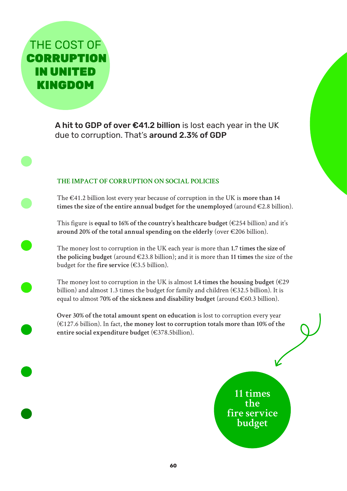THE COST OF **CORRUPTION** IN UNITED KINGDOM

> A hit to GDP of over €41.2 billion is lost each year in the UK due to corruption. That's around 2.3% of GDP

## **THE IMPACT OF CORRUPTION ON SOCIAL POLICIES**

The €41.2 billion lost every year because of corruption in the UK is **more than 14 times the size of the entire annual budget for the unemployed** (around €2.8 billion).

This figure is **equal to 16% of the country's healthcare budget** (€254 billion) and it's **around 20% of the total annual spending on the elderly** (over €206 billion).

The money lost to corruption in the UK each year is more than **1.7 times the size of the policing budget** (around €23.8 billion); and it is more than **11 times** the size of the budget for the **fire service** (€3.5 billion).

The money lost to corruption in the UK is almost 1.4 times the housing budget ( $\epsilon$ 29) billion) and almost 1.3 times the budget for family and children ( $\epsilon$ 32.5 billion). It is equal to almost **70% of the sickness and disability budget** (around €60.3 billion).

**Over 30% of the total amount spent on education** is lost to corruption every year (€127.6 billion). In fact, **the money lost to corruption totals more than 10% of the entire social expenditure budget** (€378.5billion).

> **11 times the fire service budget**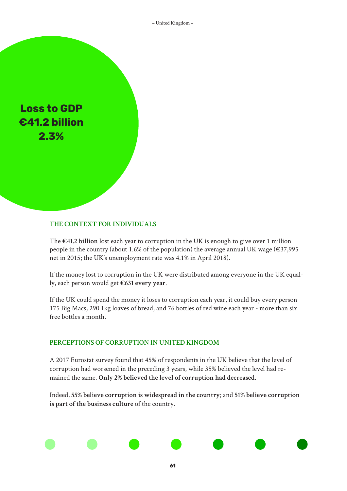

#### **THE CONTEXT FOR INDIVIDUALS**

The **€41.2 billion** lost each year to corruption in the UK is enough to give over 1 million people in the country (about 1.6% of the population) the average annual UK wage ( $\epsilon$ 37,995 net in 2015; the UK's unemployment rate was 4.1% in April 2018).

If the money lost to corruption in the UK were distributed among everyone in the UK equally, each person would get **€631 every year**.

If the UK could spend the money it loses to corruption each year, it could buy every person 175 Big Macs, 290 1kg loaves of bread, and 76 bottles of red wine each year - more than six free bottles a month.

#### **PERCEPTIONS OF CORRUPTION IN UNITED KINGDOM**

A 2017 Eurostat survey found that 45% of respondents in the UK believe that the level of corruption had worsened in the preceding 3 years, while 35% believed the level had remained the same. **Only 2% believed the level of corruption had decreased**.

Indeed, **55% believe corruption is widespread in the country**; and **51% believe corruption is part of the business culture** of the country.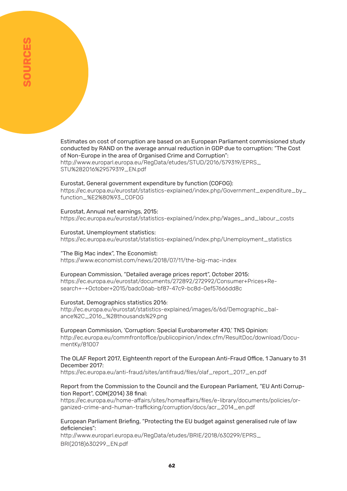Estimates on cost of corruption are based on an European Parliament commissioned study conducted by RAND on the average annual reduction in GDP due to corruption: "The Cost of Non-Europe in the area of Organised Crime and Corruption": http://www.europarl.europa.eu/RegData/etudes/STUD/2016/579319/EPRS\_ STU%282016%29579319\_EN.pdf

#### Eurostat, General government expenditure by function (COFOG):

https://ec.europa.eu/eurostat/statistics-explained/index.php/Government\_expenditure\_by\_ function\_%E2%80%93\_COFOG

#### Eurostat, Annual net earnings, 2015:

https://ec.europa.eu/eurostat/statistics-explained/index.php/Wages\_and\_labour\_costs

#### Eurostat, Unemployment statistics:

https://ec.europa.eu/eurostat/statistics-explained/index.php/Unemployment\_statistics

#### "The Big Mac index", The Economist:

https://www.economist.com/news/2018/07/11/the-big-mac-index

#### European Commission, "Detailed average prices report", October 2015:

https://ec.europa.eu/eurostat/documents/272892/272992/Consumer+Prices+Research+-+October+2015/badc06ab-bf87-47c9-bc8d-0ef57666dd8c

#### Eurostat, Demographics statistics 2016:

http://ec.europa.eu/eurostat/statistics-explained/images/6/6d/Demographic\_balance%2C\_2016\_%28thousands%29.png

European Commission, 'Corruption: Special Eurobarometer 470,' TNS Opinion: http://ec.europa.eu/commfrontoffice/publicopinion/index.cfm/ResultDoc/download/DocumentKy/81007

#### The OLAF Report 2017, Eighteenth report of the European Anti-Fraud Office, 1 January to 31 December 2017:

https://ec.europa.eu/anti-fraud/sites/antifraud/files/olaf\_report\_2017\_en.pdf

#### Report from the Commission to the Council and the European Parliament, "EU Anti Corruption Report", COM(2014) 38 final:

https://ec.europa.eu/home-affairs/sites/homeaffairs/files/e-library/documents/policies/organized-crime-and-human-trafficking/corruption/docs/acr\_2014\_en.pdf

#### European Parliament Briefing, "Protecting the EU budget against generalised rule of law deficiencies":

http://www.europarl.europa.eu/RegData/etudes/BRIE/2018/630299/EPRS\_ BRI(2018)630299\_EN.pdf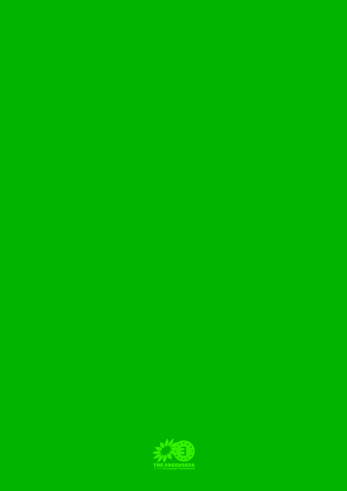